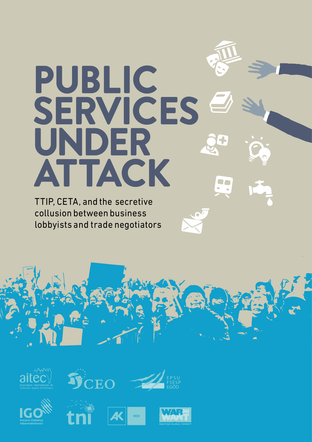# PUBLIC SERVICES UNDER ATTACK

TTIP, CETA, and the secretive collusion between business lobbyists and trade negotiators











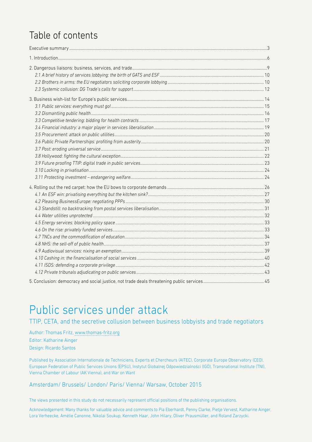## Table of contents

## Public services under attack

TTIP, CETA, and the secretive collusion between business lobbyists and trade negotiators

Author: Thomas Fritz, [www.thomas-fritz.org](http://www.thomas-fritz.org/) Editor: Katharine Ainger Design: Ricardo Santos

Published by Association Internationale de Techniciens, Experts et Chercheurs (AITEC), Corporate Europe Observatory (CEO), European Federation of Public Services Unions (EPSU), Instytut Globalnej Odpowiedzialności (IGO), Transnational Institute (TNI), Vienna Chamber of Labour (AK Vienna), and War on Want

#### Amsterdam/ Brussels/ London/ Paris/ Vienna/ Warsaw, October 2015

The views presented in this study do not necessarily represent official positions of the publishing organisations.

Acknowledgement: Many thanks for valuable advice and comments to Pia Eberhardt, Penny Clarke, Pietje Vervest, Katharine Ainger, Lora Verheecke, Amélie Canonne, Nikolai Soukup, Kenneth Haar, John Hilary, Oliver Prausmüller, and Roland Zarzycki.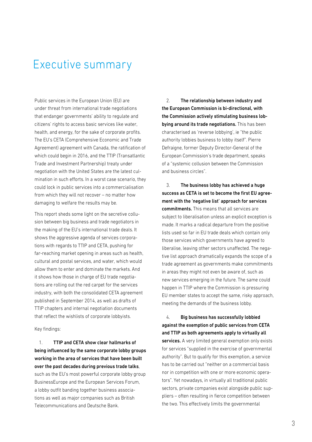## Executive summary

Public services in the European Union (EU) are under threat from international trade negotiations that endanger governments' ability to regulate and citizens' rights to access basic services like water, health, and energy, for the sake of corporate profits. The EU's CETA (Comprehensive Economic and Trade Agreement) agreement with Canada, the ratification of which could begin in 2016, and the TTIP (Transatlantic Trade and Investment Partnership) treaty under negotiation with the United States are the latest culmination in such efforts. In a worst case scenario, they could lock in public services into a commercialisation from which they will not recover – no matter how damaging to welfare the results may be.

This report sheds some light on the secretive collusion between big business and trade negotiators in the making of the EU's international trade deals. It shows the aggressive agenda of services corporations with regards to TTIP and CETA, pushing for far-reaching market opening in areas such as health, cultural and postal services, and water, which would allow them to enter and dominate the markets. And it shows how those in charge of EU trade negotiations are rolling out the red carpet for the services industry, with both the consolidated CETA agreement published in September 2014, as well as drafts of TTIP chapters and internal negotiation documents that reflect the wishlists of corporate lobbyists.

Key findings:

1. TTIP and CETA show clear hallmarks of being influenced by the same corporate lobby groups working in the area of services that have been built over the past decades during previous trade talks, such as the EU's most powerful corporate lobby group BusinessEurope and the European Services Forum, a lobby outfit banding together business associations as well as major companies such as British Telecommunications and Deutsche Bank.

2. The relationship between industry and the European Commission is bi-directional, with the Commission actively stimulating business lobbying around its trade negotiations. This has been characterised as 'reverse lobbying', ie "the public authority lobbies business to lobby itself". Pierre Defraigne, former Deputy Director-General of the European Commission's trade department, speaks of a "systemic collusion between the Commission and business circles".

3. The business lobby has achieved a huge success as CETA is set to become the first EU agreement with the 'negative list' approach for services commitments. This means that all services are subject to liberalisation unless an explicit exception is made. It marks a radical departure from the positive lists used so far in EU trade deals which contain only those services which governments have agreed to liberalise, leaving other sectors unaffected. The negative list approach dramatically expands the scope of a trade agreement as governments make commitments in areas they might not even be aware of, such as new services emerging in the future. The same could happen in TTIP where the Commission is pressuring EU member states to accept the same, risky approach, meeting the demands of the business lobby.

4. Big business has successfully lobbied against the exemption of public services from CETA and TTIP as both agreements apply to virtually all services. A very limited general exemption only exists for services "supplied in the exercise of governmental authority". But to qualify for this exemption, a service has to be carried out "neither on a commercial basis nor in competition with one or more economic operators". Yet nowadays, in virtually all traditional public sectors, private companies exist alongside public suppliers – often resulting in fierce competition between the two. This effectively limits the governmental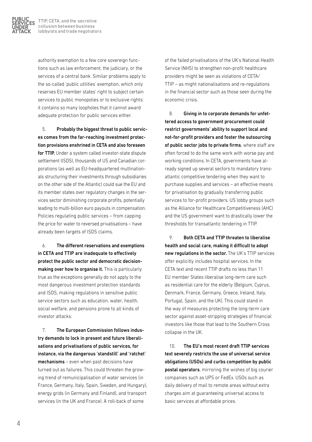

authority exemption to a few core sovereign functions such as law enforcement, the judiciary, or the services of a central bank. Similar problems apply to the so-called 'public utilities' exemption, which only reserves EU member states' right to subject certain services to public monopolies or to exclusive rights: it contains so many loopholes that it cannot award adequate protection for public services either.

5. Probably the biggest threat to public services comes from the far-reaching investment protection provisions enshrined in CETA and also foreseen for TTIP. Under a system called investor-state dispute settlement (ISDS), thousands of US and Canadian corporations (as well as EU-headquartered multinationals structuring their investments through subsidiaries on the other side of the Atlantic) could sue the EU and its member states over regulatory changes in the services sector diminishing corporate profits, potentially leading to multi-billion euro payouts in compensation. Policies regulating public services – from capping the price for water to reversed privatisations – have already been targets of ISDS claims.

6. The different reservations and exemptions in CETA and TTIP are inadequate to effectively protect the public sector and democratic decisionmaking over how to organise it. This is particularly true as the exceptions generally do not apply to the most dangerous investment protection standards and ISDS, making regulations in sensitive public service sectors such as education, water, health, social welfare, and pensions prone to all kinds of investor attacks.

7. The European Commission follows industry demands to lock in present and future liberalisations and privatisations of public services, for instance, via the dangerous 'standstill' and 'ratchet' mechanisms – even when past decisions have turned out as failures. This could threaten the growing trend of remunicipalisation of water services (in France, Germany, Italy, Spain, Sweden, and Hungary), energy grids (in Germany and Finland), and transport services (in the UK and France). A roll-back of some

of the failed privatisations of the UK's National Health Service (NHS) to strengthen non-profit healthcare providers might be seen as violations of CETA/ TTIP – as might nationalisations and re-regulations in the financial sector such as those seen during the economic crisis.

8. Giving in to corporate demands for unfettered access to government procurement could restrict governments' ability to support local and not-for-profit providers and foster the outsourcing of public sector jobs to private firms, where staff are often forced to do the same work with worse pay and working conditions. In CETA, governments have already signed up several sectors to mandatory transatlantic competitive tendering when they want to purchase supplies and services – an effective means for privatisation by gradually transferring public services to for-profit providers. US lobby groups such as the Alliance for Healthcare Competitiveness (AHC) and the US government want to drastically lower the thresholds for transatlantic tendering in TTIP.

9. Both CETA and TTIP threaten to liberalise health and social care, making it difficult to adopt new regulations in the sector. The UK's TTIP services offer explicitly includes hospital services. In the CETA text and recent TTIP drafts no less than 11 EU member States liberalise long-term care such as residential care for the elderly (Belgium, Cyprus, Denmark, France, Germany, Greece, Ireland, Italy, Portugal, Spain, and the UK). This could stand in the way of measures protecting the long-term care sector against asset-stripping strategies of financial investors like those that lead to the Southern Cross collapse in the UK.

10. The EU's most recent draft TTIP services text severely restricts the use of universal service obligations (USOs) and curbs competition by public postal operators, mirroring the wishes of big courier companies such as UPS or FedEx. USOs such as daily delivery of mail to remote areas without extra charges aim at guaranteeing universal access to basic services at affordable prices.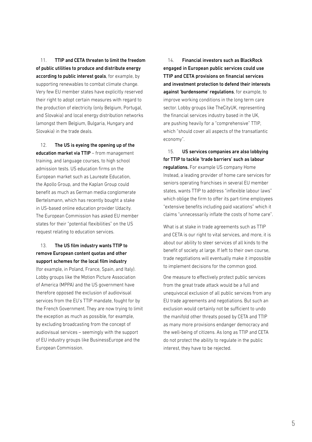11. TTIP and CETA threaten to limit the freedom of public utilities to produce and distribute energy according to public interest goals, for example, by supporting renewables to combat climate change. Very few EU member states have explicitly reserved their right to adopt certain measures with regard to the production of electricity (only Belgium, Portugal, and Slovakia) and local energy distribution networks (amongst them Belgium, Bulgaria, Hungary and Slovakia) in the trade deals.

12. The US is eyeing the opening up of the education market via TTIP – from management training, and language courses, to high school admission tests. US education firms on the European market such as Laureate Education, the Apollo Group, and the Kaplan Group could benefit as much as German media conglomerate Bertelsmann, which has recently bought a stake in US-based online education provider Udacity. The European Commission has asked EU member states for their "potential flexibilities" on the US request relating to education services.

13. The US film industry wants TTIP to remove European content quotas and other support schemes for the local film industry

(for example, in Poland, France, Spain, and Italy). Lobby groups like the Motion Picture Association of America (MPPA) and the US government have therefore opposed the exclusion of audiovisual services from the EU's TTIP mandate, fought for by the French Government. They are now trying to limit the exception as much as possible, for example, by excluding broadcasting from the concept of audiovisual services – seemingly with the support of EU industry groups like BusinessEurope and the European Commission.

14. Financial investors such as BlackRock engaged in European public services could use TTIP and CETA provisions on financial services and investment protection to defend their interests against 'burdensome' regulations, for example, to improve working conditions in the long term care sector. Lobby groups like TheCityUK, representing the financial services industry based in the UK, are pushing heavily for a "comprehensive" TTIP, which "should cover all aspects of the transatlantic economy".

15. US services companies are also lobbying for TTIP to tackle 'trade barriers' such as labour regulations. For example US company Home Instead, a leading provider of home care services for seniors operating franchises in several EU member states, wants TTIP to address "inflexible labour laws" which oblige the firm to offer its part-time employees "extensive benefits including paid vacations" which it claims "unnecessarily inflate the costs of home care".

What is at stake in trade agreements such as TTIP and CETA is our right to vital services, and more, it is about our ability to steer services of all kinds to the benefit of society at large. If left to their own course, trade negotiations will eventually make it impossible to implement decisions for the common good.

One measure to effectively protect public services from the great trade attack would be a full and unequivocal exclusion of all public services from any EU trade agreements and negotiations. But such an exclusion would certainly not be sufficient to undo the manifold other threats posed by CETA and TTIP as many more provisions endanger democracy and the well-being of citizens. As long as TTIP and CETA do not protect the ability to regulate in the public interest, they have to be rejected.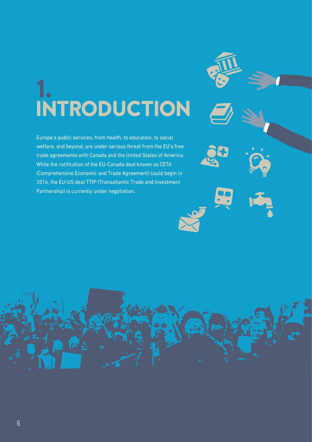## 1. INTRODUCTION

Europe's public services, from health, to education, to social welfare, and beyond, are under serious threat from the EU's free trade agreements with Canada and the United States of America. While the ratification of the EU-Canada deal known as CETA (Comprehensive Economic and Trade Agreement) could begin in 2016, the EU-US deal TTIP (Transatlantic Trade and Investment Partnership) is currently under negotiation.

6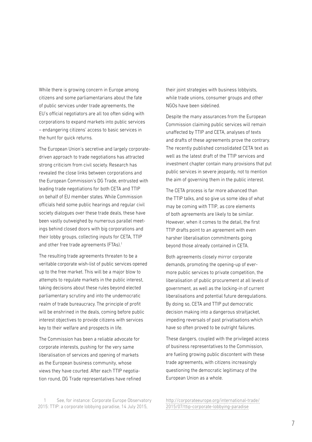While there is growing concern in Europe among citizens and some parliamentarians about the fate of public services under trade agreements, the EU's official negotiators are all too often siding with corporations to expand markets into public services – endangering citizens' access to basic services in the hunt for quick returns.

The European Union's secretive and largely corporatedriven approach to trade negotiations has attracted strong criticism from civil society. Research has revealed the close links between corporations and the European Commission's DG Trade, entrusted with leading trade negotiations for both CETA and TTIP on behalf of EU member states. While Commission officials held some public hearings and regular civil society dialogues over these trade deals, these have been vastly outweighed by numerous parallel meetings behind closed doors with big corporations and their lobby groups, collecting inputs for CETA, TTIP and other free trade agreements (FTAs).<sup>1</sup>

The resulting trade agreements threaten to be a veritable corporate wish-list of public services opened up to the free market. This will be a major blow to attempts to regulate markets in the public interest, taking decisions about these rules beyond elected parliamentary scrutiny and into the undemocratic realm of trade bureaucracy. The principle of profit will be enshrined in the deals, coming before public interest objectives to provide citizens with services key to their welfare and prospects in life.

The Commission has been a reliable advocate for corporate interests, pushing for the very same liberalisation of services and opening of markets as the European business community, whose views they have courted. After each TTIP negotiation round, DG Trade representatives have refined

See, for instance: Corporate Europe Observatory 2015: TTIP: a corporate lobbying paradise, 14 July 2015,

their joint strategies with business lobbyists, while trade unions, consumer groups and other NGOs have been sidelined.

Despite the many assurances from the European Commission claiming public services will remain unaffected by TTIP and CETA, analyses of texts and drafts of these agreements prove the contrary. The recently published consolidated CETA text as well as the latest draft of the TTIP services and investment chapter contain many provisions that put public services in severe jeopardy, not to mention the aim of governing them in the public interest.

The CETA process is far more advanced than the TTIP talks, and so give us some idea of what may be coming with TTIP, as core elements of both agreements are likely to be similar. However, when it comes to the detail, the first TTIP drafts point to an agreement with even harsher liberalisation commitments going beyond those already contained in CETA.

Both agreements closely mirror corporate demands, promoting the opening-up of evermore public services to private competition, the liberalisation of public procurement at all levels of government, as well as the locking-in of current liberalisations and potential future deregulations. By doing so, CETA and TTIP put democratic decision making into a dangerous straitjacket, impeding reversals of past privatisations which have so often proved to be outright failures.

These dangers, coupled with the privileged access of business representatives to the Commission, are fueling growing public discontent with these trade agreements, with citizens increasingly questioning the democratic legitimacy of the European Union as a whole.

[http://corporateeurope.org/international-trade/](http://corporateeurope.org/international-trade/
2015/07/ttip-corporate-lobbying-paradise) [2015/07/ttip-corporate-lobbying-paradise](http://corporateeurope.org/international-trade/
2015/07/ttip-corporate-lobbying-paradise)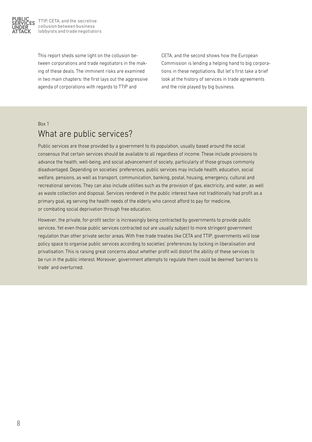

This report sheds some light on the collusion between corporations and trade negotiators in the making of these deals. The imminent risks are examined in two main chapters: the first lays out the aggressive agenda of corporations with regards to TTIP and

CETA, and the second shows how the European Commission is lending a helping hand to big corporations in these negotiations. But let's first take a brief look at the history of services in trade agreements and the role played by big business.

## Box 1 What are public services?

Public services are those provided by a government to its population, usually based around the social consensus that certain services should be available to all regardless of income. These include provisions to advance the health, well-being, and social advancement of society, particularly of those groups commonly disadvantaged. Depending on societies' preferences, public services may include health, education, social welfare, pensions, as well as transport, communication, banking, postal, housing, emergency, cultural and recreational services. They can also include utilities such as the provision of gas, electricity, and water, as well as waste collection and disposal. Services rendered in the public interest have not traditionally had profit as a primary goal, eg serving the health needs of the elderly who cannot afford to pay for medicine, or combating social deprivation through free education.

However, the private, for-profit sector is increasingly being contracted by governments to provide public services. Yet even those public services contracted out are usually subject to more stringent government regulation than other private sector areas. With free trade treaties like CETA and TTIP, governments will lose policy space to organise public services according to societies' preferences by locking in liberalisation and privatisation. This is raising great concerns about whether profit will distort the ability of these services to be run in the public interest. Moreover, government attempts to regulate them could be deemed 'barriers to trade' and overturned.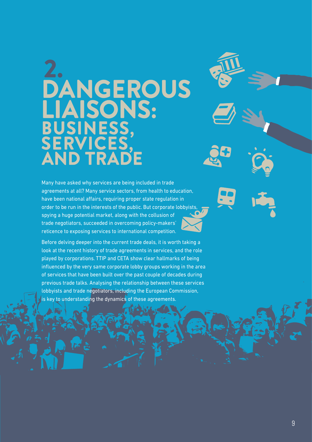## 2. **DANGEROUS** LIAISONS: BUSINESS, SERVICES, AND TRADE

Many have asked why services are being included in trade agreements at all? Many service sectors, from health to education, have been national affairs, requiring proper state regulation in order to be run in the interests of the public. But corporate lobbyists, spying a huge potential market, along with the collusion of trade negotiators, succeeded in overcoming policy-makers' reticence to exposing services to international competition.

Before delving deeper into the current trade deals, it is worth taking a look at the recent history of trade agreements in services, and the role played by corporations. TTIP and CETA show clear hallmarks of being influenced by the very same corporate lobby groups working in the area of services that have been built over the past couple of decades during previous trade talks. Analysing the relationship between these services lobbyists and trade negotiators, including the European Commission, is key to understanding the dynamics of these agreements.

9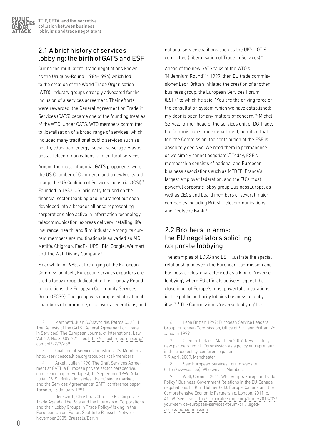## 2.1 A brief history of services lobbying: the birth of GATS and ESF

During the multilateral trade negotiations known as the Uruguay-Round (1986-1994) which led to the creation of the World Trade Organisation (WTO), industry groups strongly advocated for the inclusion of a services agreement. Their efforts were rewarded: the General Agreement on Trade in Services (GATS) became one of the founding treaties of the WTO. Under GATS, WTO members committed to liberalisation of a broad range of services, which included many traditional public services such as health, education, energy, social, sewerage, waste, postal, telecommunications, and cultural services.

Among the most influential GATS proponents were the US Chamber of Commerce and a newly created group, the US Coalition of Services Industries (CSI).2 Founded in 1982, CSI originally focused on the financial sector (banking and insurance) but soon developed into a broader alliance representing corporations also active in information technology, telecommunication, express delivery, retailing, life insurance, health, and film industry. Among its current members are multinationals as varied as AIG, Metlife, Citigroup, FedEx, UPS, IBM, Google, Walmart, and The Walt Disney Company.3

Meanwhile in 1985, at the urging of the European Commission itself, European services exporters created a lobby group dedicated to the Uruguay Round negotiations, the European Community Services Group (ECSG). The group was composed of national chambers of commerce, employers' federations, and

2 Marchetti, Juan A./Mavroidis, Petros C., 2011: The Genesis of the GATS (General Agreement on Trade in Services), The European Journal of International Law, Vol. 22, No. 3, 689-721, doi: [http://ejil.oxfordjournals.org/](http://ejil.oxfordjournals.org/content/22/3/689) [content/22/3/689](http://ejil.oxfordjournals.org/content/22/3/689)

3 Coalition of Services Industries, CSI Members: <http://servicescoalition.org/about-csi/csi-members>

4 Arkell, Julian 1990: The Draft Services Agreement at GATT: a European private sector perspective, conference paper, Budapest, 11 September 1999. Arkell, Julian 1991: British Invisibles, the EC single market, and the Services Agreement at GATT, conference paper, Toronto, 15 January 1991.

5 Deckwirth, Christina 2005: The EU Corporate Trade Agenda. The Role and the Interests of Corporations and their Lobby Groups in Trade Policy-Making in the European Union, Editor: Seattle to Brussels Network, November 2005, Brussels/Berlin

national service coalitions such as the UK's LOTIS committee (Liberalisation of Trade in Services).4

Ahead of the new GATS talks of the WTO's 'Millennium Round' in 1999, then EU trade commissioner Leon Brittan initiated the creation of another business group, the European Services Forum (ESF),<sup>5</sup> to which he said: "You are the driving force of the consultation system which we have established; my door is open for any matters of concern."6 Michel Servoz, former head of the services unit of DG Trade, the Commission's trade department, admitted that for "the Commission, the contribution of the ESF is absolutely decisive. We need them in permanence… or we simply cannot negotiate".7 Today, ESF's membership consists of national and European business associations such as MEDEF, France's largest employer federation, and the EU's most powerful corporate lobby group BusinessEurope, as well as CEOs and board members of several major companies including British Telecommunications and Deutsche Bank.<sup>8</sup>

## 2.2 Brothers in arms: the EU negotiators soliciting corporate lobbying

The examples of ECSG and ESF illustrate the special relationship between the European Commission and business circles, characterised as a kind of 'reverse lobbying', where EU officials actively request the close input of Europe's most powerful corporations, ie "the public authority lobbies business to lobby itself".9 The Commission's 'reverse lobbying' has

8 See: European Services Forum website (<http://www.esf.be>): Who we are, Members

9 Woll, Cornelia 2011: Who Scripts European Trade Policy? Business-Government Relations in the EU-Canada negotiations. In: Kurt Hübner (ed.): Europe, Canada and the Comprehensive Economic Partnership, London, 2011, p. 41-58. See also: [http://corporateeurope.org/trade/2013/02/](http://corporateeurope.org/trade/2013/02/your-service-european-services-forum-privileged-access-eu-commission) [your-service-european-services-forum-privileged](http://corporateeurope.org/trade/2013/02/your-service-european-services-forum-privileged-access-eu-commission)[access-eu-commission](http://corporateeurope.org/trade/2013/02/your-service-european-services-forum-privileged-access-eu-commission)

<sup>6</sup> Leon Brittan 1999: European Service Leaders' Group, European Commission, Office of Sir Leon Brittan, 26 January 1999

<sup>7</sup> Cited in: Lietaert, Matthieu 2009: New strategy, new partnership: EU Commission as a policy entrepreneur in the trade policy, conference paper, 7-9 April 2009, Manchester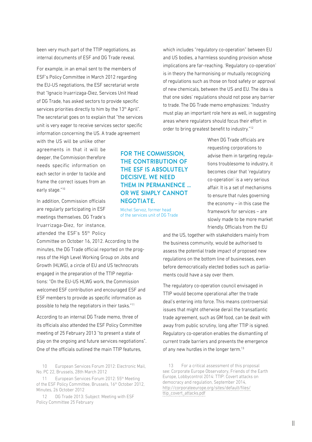been very much part of the TTIP negotiations, as internal documents of ESF and DG Trade reveal.

For example, in an email sent to the members of ESF's Policy Committee in March 2012 regarding the EU-US negotiations, the ESF secretariat wrote that "Ignacio Iruarrizaga-Diez, Services Unit Head of DG Trade, has asked sectors to provide specific services priorities directly to him by the 13<sup>th</sup> April". The secretariat goes on to explain that "the services unit is very eager to receive services sector specific information concerning the US. A trade agreement

with the US will be unlike other agreements in that it will be deeper, the Commission therefore needs specific information on each sector in order to tackle and frame the correct issues from an early stage."10

In addition, Commission officials are regularly participating in ESF meetings themselves. DG Trade's Iruarrizaga-Diez, for instance, attended the ESF's 55th Policy

Committee on October 16, 2012. According to the minutes, the DG Trade official reported on the progress of the High Level Working Group on Jobs and Growth (HLWG), a circle of EU and US technocrats engaged in the preparation of the TTIP negotiations: "On the EU-US HLWG work, the Commission welcomed ESF contribution and encouraged ESF and ESF members to provide as specific information as possible to help the negotiators in their tasks."11

According to an internal DG Trade memo, three of its officials also attended the ESF Policy Committee meeting of 25 February 2013 "to present a state of play on the ongoing and future services negotiations". One of the officials outlined the main TTIP features,

10 European Services Forum 2012: Electronic Mail, No. PC 22, Brussels, 28th March 2012

11 European Services Forum 2012: 55<sup>th</sup> Meeting of the ESF Policy Committee, Brussels, 16<sup>th</sup> October 2012, Minutes, 26 October 2012

12 DG Trade 2013: Subject: Meeting with ESF Policy Committee 25 February

FOR THE COMMISSION, THE CONTRIBUTION OF THE ESF IS ABSOLUTELY DECISIVE. WE NEED THEM IN PERMANENCE … OR WE SIMPLY CANNOT NEGOTIATE.

Michel Servoz, former head of the services unit of DG Trade

which includes "regulatory co-operation" between EU and US bodies, a harmless sounding provision whose implications are far-reaching. 'Regulatory co-operation' is in theory the harmonising or mutually recognizing of regulations such as those on food safety or approval of new chemicals, between the US and EU. The idea is that one sides' regulations should not pose any barrier to trade. The DG Trade memo emphasizes: "Industry must play an important role here as well, in suggesting areas where regulators should focus their effort in order to bring greatest benefit to industry."12

> When DG Trade officials are requesting corporations to advise them in targeting regulations troublesome to industry, it becomes clear that 'regulatory co-operation' is a very serious affair. It is a set of mechanisms to ensure that rules governing the economy – in this case the framework for services – are slowly made to be more market friendly. Officials from the EU

and the US, together with stakeholders mainly from the business community, would be authorised to assess the potential trade impact of proposed new regulations on the bottom line of businesses, even before democratically elected bodies such as parliaments could have a say over them.

The regulatory co-operation council envisaged in TTIP would become operational after the trade deal's entering into force. This means controversial issues that might otherwise derail the transatlantic trade agreement, such as GM food, can be dealt with away from public scrutiny, long after TTIP is signed. Regulatory co-operation enables the dismantling of current trade barriers and prevents the emergence of any new hurdles in the longer term.<sup>13</sup>

13 For a critical assessment of this proposal see: Corporate Europe Observatory, Friends of the Earth Europe, Lobbycontrol 2014: TTIP: Covert attacks on democracy and regulation, September 2014, [http://corporateeurope.org/sites/default/files/](http://corporateeurope.org/sites/default/files/ttip_covert_attacks.pdf) [ttip\\_covert\\_attacks.pdf](http://corporateeurope.org/sites/default/files/ttip_covert_attacks.pdf)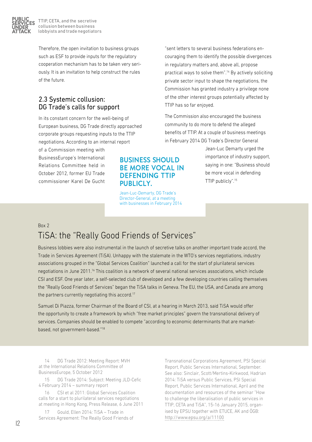

Therefore, the open invitation to business groups such as ESF to provide inputs for the regulatory cooperation mechanism has to be taken very seriously. It is an invitation to help construct the rules of the future.

## 2.3 Systemic collusion: DG Trade's calls for support

In its constant concern for the well-being of European business, DG Trade directly approached corporate groups requesting inputs to the TTIP negotiations. According to an internal report

of a Commission meeting with BusinessEurope's International Relations Committee held in October 2012, former EU Trade commissioner Karel De Gucht "sent letters to several business federations encouraging them to identify the possible divergences in regulatory matters and, above all, propose practical ways to solve them".14 By actively soliciting private sector input to shape the negotiations, the Commission has granted industry a privilege none of the other interest groups potentially affected by TTIP has so far enjoyed.

The Commission also encouraged the business community to do more to defend the alleged benefits of TTIP. At a couple of business meetings in February 2014 DG Trade's Director General

> Jean-Luc Demarty urged the importance of industry support, saying in one: "Business should be more vocal in defending TTIP publicly".15

## BUSINESS SHOULD BE MORE VOCAL IN DEFENDING TTIP PUBLICLY.

Jean-Luc-Demarty, DG Trade's Director-General, at a meeting with businesses in February 2014

## Box 2 TiSA: the "Really Good Friends of Services"

Business lobbies were also instrumental in the launch of secretive talks on another important trade accord, the Trade in Services Agreement (TiSA). Unhappy with the stalemate in the WTO's services negotiations, industry associations grouped in the "Global Services Coalition" launched a call for the start of plurilateral services negotiations in June 2011.16 This coalition is a network of several national services associations, which include CSI and ESF. One year later, a self-selected club of developed and a few developing countries calling themselves the "Really Good Friends of Services" began the TiSA talks in Geneva. The EU, the USA, and Canada are among the partners currently negotiating this accord.<sup>17</sup>

Samuel Di Piazza, former Chairman of the Board of CSI, at a hearing in March 2013, said TiSA would offer the opportunity to create a framework by which "free market principles" govern the transnational delivery of services. Companies should be enabled to compete "according to economic determinants that are marketbased, not government-based."18

14 DG Trade 2012: Meeting Report: MVH at the International Relations Committee of BusinessEurope, 5 October 2012

15 DG Trade 2014: Subject: Meeting JLD-Cefic 4 February 2014 – summary report

16 CSI et al 2011: Global Services Coalition calls for a start to plurilateral services negotiations at meeting in Hong Kong, Press Release, 6 June 2011

17 Gould, Ellen 2014: TiSA – Trade in Services Agreement: The Really Good Friends of

Transnational Corporations Agreement, PSI Special Report, Public Services International, September. See also: Sinclair, Scott/Mertins-Kirkwood, Hadrian 2014: TiSA versus Public Services, PSI Special Report, Public Services International, April and the documentation and resources of the seminar "How to challenge the liberalisation of public services in TTIP, CETA and TiSA", 15-16 January 2015, organised by EPSU together with ETUCE, AK and ÖGB: <http://www.epsu.org/a/11100>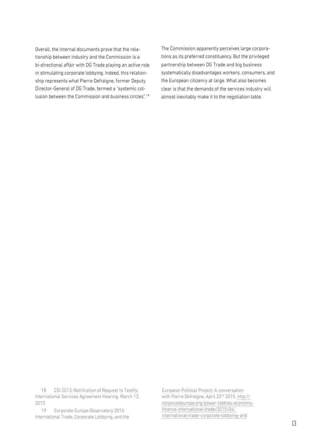Overall, the internal documents prove that the relationship between industry and the Commission is a bi-directional affair with DG Trade playing an active role in stimulating corporate lobbying. Indeed, this relationship represents what Pierre Defraigne, former Deputy Director-General of DG Trade, termed a "systemic collusion between the Commission and business circles".19 The Commission apparently perceives large corporations as its preferred constituency. But the privileged partnership between DG Trade and big business systematically disadvantages workers, consumers, and the European citizenry at large. What also becomes clear is that the demands of the services industry will almost inevitably make it to the negotiation table.

18 CSI 2013: Notification of Request to Testify, International Services Agreement Hearing, March 12, 2013

19 Corporate Europe Observatory 2015: International Trade, Corporate Lobbying, and the

European Political Project: A conversation with Pierre Defraigne, April 22<sup>nd</sup> 2015, [http://](http://corporateeurope.org/power-
lobbies-economy-finance-international-trade/2015/
04/international-trade-corporate-lobbying-and) [corporateeurope.org/power-lobbies-economy](http://corporateeurope.org/power-
lobbies-economy-finance-international-trade/2015/
04/international-trade-corporate-lobbying-and)[finance-international-trade/2015/04/](http://corporateeurope.org/power-
lobbies-economy-finance-international-trade/2015/
04/international-trade-corporate-lobbying-and) [international-trade-corporate-lobbying-and](http://corporateeurope.org/power-
lobbies-economy-finance-international-trade/2015/
04/international-trade-corporate-lobbying-and)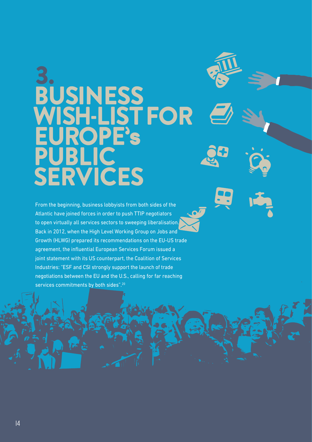## 3. BUSINESS WISH-LIST FOR EUROPE's PUBLIC. **SERVICES**

From the beginning, business lobbyists from both sides of the Atlantic have joined forces in order to push TTIP negotiators to open virtually all services sectors to sweeping liberalisation. Back in 2012, when the High Level Working Group on Jobs and Growth (HLWG) prepared its recommendations on the EU-US trade agreement, the influential European Services Forum issued a joint statement with its US counterpart, the Coalition of Services Industries: "ESF and CSI strongly support the launch of trade negotiations between the EU and the U.S., calling for far reaching services commitments by both sides".<sup>20</sup>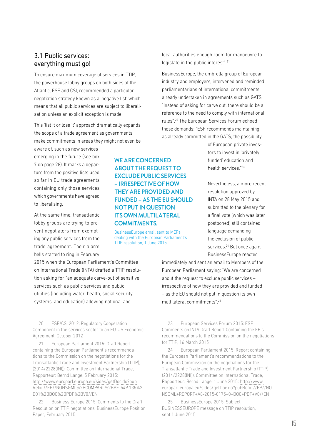## 3.1 Public services: everything must go!

To ensure maximum coverage of services in TTIP, the powerhouse lobby groups on both sides of the Atlantic, ESF and CSI, recommended a particular negotiation strategy known as a 'negative list' which means that all public services are subject to liberalisation unless an explicit exception is made.

This 'list it or lose it' approach dramatically expands the scope of a trade agreement as governments make commitments in areas they might not even be

aware of, such as new services emerging in the future (see box 7 on page 28). It marks a departure from the positive lists used so far in EU trade agreements containing only those services which governments have agreed to liberalising.

At the same time, transatlantic lobby groups are trying to prevent negotiators from exempting any public services from the trade agreement. Their alarm bells started to ring in February

2015 when the European Parliament's Committee on International Trade (INTA) drafted a TTIP resolution asking for "an adequate carve-out of sensitive services such as public services and public utilities (including water, health, social security systems, and education) allowing national and

20 ESF/CSI 2012: Regulatory Cooperation Component in the services sector to an EU-US Economic Agreement, October 2012

21 European Parliament 2015: Draft Report containing the European Parliament's recommendations to the Commission on the negotiations for the Transatlantic Trade and Investment Partnership (TTIP), (2014/2228(INI)), Committee on International Trade, Rapporteur: Bernd Lange, 5 February 2015: [http://www.europarl.europa.eu/sides/getDoc.do?pub](http://www.europarl.europa.eu/sides/getDoc.do?pub
Ref=-//EP//NONSGML%2BCOMPARL%2BPE-549.135%2
B01%2BDOC%2BPDF%2BV0//EN) [Ref=-//EP//NONSGML%2BCOMPARL%2BPE-549.135%2](http://www.europarl.europa.eu/sides/getDoc.do?pub
Ref=-//EP//NONSGML%2BCOMPARL%2BPE-549.135%2
B01%2BDOC%2BPDF%2BV0//EN) [B01%2BDOC%2BPDF%2BV0//EN](http://www.europarl.europa.eu/sides/getDoc.do?pub
Ref=-//EP//NONSGML%2BCOMPARL%2BPE-549.135%2
B01%2BDOC%2BPDF%2BV0//EN)

22 Business Europe 2015: Comments to the Draft Resolution on TTIP negotiations, BusinessEurope Position Paper, February 2015

WE ARE CONCERNED ABOUT THE REQUEST TO EXCLUDE PUBLIC SERVICES – IRRESPECTIVE OF HOW THEY ARE PROVIDED AND FUNDED – AS THE EU SHOULD NOT PUT IN QUESTION ITS OWN MULTILATERAL COMMITMENTS.

BusinessEurope email sent to MEPs dealing with the European Parliament's TTIP resolution, 1 June 2015

local authorities enough room for manoeuvre to legislate in the public interest".21

BusinessEurope, the umbrella group of European industry and employers, intervened and reminded parliamentarians of international commitments already undertaken in agreements such as GATS: "Instead of asking for carve out, there should be a reference to the need to comply with international rules".22 The European Services Forum echoed these demands: "ESF recommends maintaining, as already committed in the GATS, the possibility

> of European private investors to invest in 'privately funded' education and health services."23

Nevertheless, a more recent resolution approved by INTA on 28 May 2015 and submitted to the plenary for a final vote (which was later postponed) still contained language demanding the exclusion of public services.<sup>24</sup> But once again. BusinessEurope reacted

immediately and sent an email to Members of the European Parliament saying: "We are concerned about the request to exclude public services – irrespective of how they are provided and funded – as the EU should not put in question its own multilateral commitments".25

23 European Services Forum 2015: ESF Comments on INTA Draft Report Containing the EP's recommendations to the Commission on the negotiations for TTIP, 16 March 2015

24 European Parliament 2015: Report containing the European Parliament's recommendations to the European Commission on the negotiations for the Transatlantic Trade and Investment Partnership (TTIP) (2014/2228(INI)), Committee on International Trade, Rapporteur: Bernd Lange, 1 June 2015: [http://www.](http://www.europarl.europa.eu/sides/getDoc.do?pubRef=-//EP//NONSGML+REPORT+A8-2015-0175+0+DOC+PDF+V0//EN) [europarl.europa.eu/sides/getDoc.do?pubRef=-//EP//NO](http://www.europarl.europa.eu/sides/getDoc.do?pubRef=-//EP//NONSGML+REPORT+A8-2015-0175+0+DOC+PDF+V0//EN) [NSGML+REPORT+A8-2015-0175+0+DOC+PDF+V0//EN](http://www.europarl.europa.eu/sides/getDoc.do?pubRef=-//EP//NONSGML+REPORT+A8-2015-0175+0+DOC+PDF+V0//EN)

25 BusinessEurope 2015: Subject: BUSINESSEUROPE message on TTIP resolution, sent 1 June 2015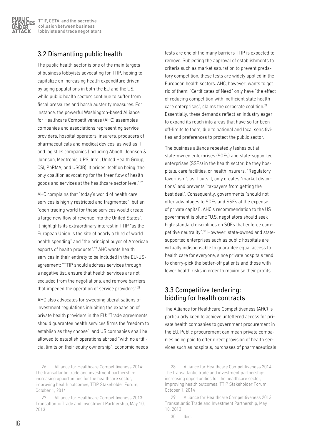

## 3.2 Dismantling public health

The public health sector is one of the main targets of business lobbyists advocating for TTIP, hoping to capitalize on increasing health expenditure driven by aging populations in both the EU and the US, while public health sectors continue to suffer from fiscal pressures and harsh austerity measures. For instance, the powerful Washington-based Alliance for Healthcare Competitiveness (AHC) assembles companies and associations representing service providers, hospital operators, insurers, producers of pharmaceuticals and medical devices, as well as IT and logistics companies (including Abbott, Johnson & Johnson, Medtronic, UPS, Intel, United Health Group, CSI, PhRMA, and USCIB). It prides itself on being "the only coalition advocating for the freer flow of health goods and services at the healthcare sector level".26

AHC complains that "today's world of health care services is highly restricted and fragmented", but an "open trading world for these services would create a large new flow of revenue into the United States". It highlights its extraordinary interest in TTIP "as the European Union is the site of nearly a third of world health spending" and "the principal buyer of American exports of health products".<sup>27</sup> AHC wants health services in their entirety to be included in the EU-USagreement: "TTIP should address services through a negative list, ensure that health services are not excluded from the negotiations, and remove barriers that impeded the operation of service providers".28

AHC also advocates for sweeping liberalisations of investment regulations inhibiting the expansion of private health providers in the EU: "Trade agreements should guarantee health services firms the freedom to establish as they choose", and US companies shall be allowed to establish operations abroad "with no artificial limits on their equity ownership". Economic needs

26 Alliance for Healthcare Competitiveness 2014: The transatlantic trade and investment partnership: increasing opportunities for the healthcare sector, improving health outcomes, TTIP Stakeholder Forum, October 1, 2014

27 Alliance for Healthcare Competitiveness 2013: Transatlantic Trade and Investment Partnership, May 10, 2013

tests are one of the many barriers TTIP is expected to remove. Subjecting the approval of establishments to criteria such as market saturation to prevent predatory competition, these tests are widely applied in the European health sectors. AHC, however, wants to get rid of them: "Certificates of Need" only have "the effect of reducing competition with inefficient state health care enterprises", claims the corporate coalition.29 Essentially, these demands reflect an industry eager to expand its reach into areas that have so far been off-limits to them, due to national and local sensitivities and preferences to protect the public sector.

The business alliance repeatedly lashes out at state-owned enterprises (SOEs) and state-supported enterprises (SSEs) in the health sector, be they hospitals, care facilities, or health insurers. "Regulatory favoritism", as it puts it, only creates "market distortions" and prevents "taxpayers from getting the best deal". Consequently, governments "should not offer advantages to SOEs and SSEs at the expense of private capital". AHC's recommendation to the US government is blunt: "U.S. negotiators should seek high-standard disciplines on SOEs that enforce competitive neutrality".30 However, state-owned and statesupported enterprises such as public hospitals are virtually indispensable to guarantee equal access to health care for everyone, since private hospitals tend to cherry-pick the better-off patients and those with lower health risks in order to maximise their profits.

## 3.3 Competitive tendering: bidding for health contracts

The Alliance for Healthcare Competitiveness (AHC) is particularly keen to achieve unfettered access for private health companies to government procurement in the EU. Public procurement can mean private companies being paid to offer direct provision of health services such as hospitals, purchases of pharmaceuticals

<sup>28</sup> Alliance for Healthcare Competitiveness 2014: The transatlantic trade and investment partnership: increasing opportunities for the healthcare sector, improving health outcomes, TTIP Stakeholder Forum, October 1, 2014

<sup>29</sup> Alliance for Healthcare Competitiveness 2013: Transatlantic Trade and Investment Partnership, May 10, 2013

<sup>30</sup> Ibid.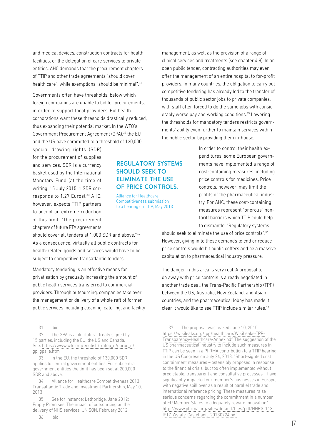and medical devices, construction contracts for health facilities, or the delegation of care services to private entities. AHC demands that the procurement chapters of TTIP and other trade agreements "should cover health care", while exemptions "should be minimal".<sup>31</sup>

Governments often have thresholds, below which foreign companies are unable to bid for procurements, in order to support local providers. But health corporations want these thresholds drastically reduced, thus expanding their potential market. In the WTO's Government Procurement Agreement (GPA),32 the EU and the US have committed to a threshold of 130,000

special drawing rights (SDR) for the procurement of supplies and services. SDR is a currency basket used by the International Monetary Fund (at the time of writing, 15 July 2015, 1 SDR corresponds to 1.27 Euros).<sup>33</sup> AHC, however, expects TTIP partners to accept an extreme reduction of this limit: "The procurement chapters of future FTA agreements

should cover all tenders at 1,000 SDR and above."34 As a consequence, virtually all public contracts for health-related goods and services would have to be subject to competitive transatlantic tenders.

Mandatory tendering is an effective means for privatisation by gradually increasing the amount of public health services transferred to commercial providers. Through outsourcing, companies take over the management or delivery of a whole raft of former public services including cleaning, catering, and facility

31 Ibid.

32 The GPA is a plurilateral treaty signed by 15 parties, including the EU, the US and Canada. See: [https://www.wto.org/english/tratop\\_e/gproc\\_e/](https://www.wto.org/english/tratop_e/gproc_e/gp_gpa_e.htm) [gp\\_gpa\\_e.htm](https://www.wto.org/english/tratop_e/gproc_e/gp_gpa_e.htm)

33 In the EU, the threshold of 130,000 SDR applies to central government entities. For subcentral government entities the limit has been set at 200,000 SDR and above.

34 Alliance for Healthcare Competitiveness 2013: Transatlantic Trade and Investment Partnership, May 10, 2013

See for instance: Lethbridge, Jane 2012: Empty Promises: The impact of outsourcing on the delivery of NHS services, UNISON, February 2012

REGULATORY SYSTEMS SHOULD SEEK TO ELIMINATE THE USE OF PRICE CONTROLS.

Alliance for Healthcare Competitiveness submission to a hearing on TTIP, May 2013

management, as well as the provision of a range of clinical services and treatments (see chapter 4.8). In an open public tender, contracting authorities may even offer the management of an entire hospital to for-profit providers. In many countries, the obligation to carry out competitive tendering has already led to the transfer of thousands of public sector jobs to private companies. with staff often forced to do the same jobs with considerably worse pay and working conditions.<sup>35</sup> Lowering the thresholds for mandatory tenders restricts governments' ability even further to maintain services within the public sector by providing them in-house.

> In order to control their health expenditures, some European governments have implemented a range of cost-containing measures, including price controls for medicines. Price controls, however, may limit the profits of the pharmaceutical industry. For AHC, these cost-containing measures represent "onerous" nontariff barriers which TTIP could help to dismantle: "Regulatory systems

should seek to eliminate the use of price controls".<sup>36</sup> However, giving in to these demands to end or reduce price controls would hit public coffers and be a massive capitulation to pharmaceutical industry pressure.

The danger in this area is very real. A proposal to do away with price controls is already negotiated in another trade deal, the Trans-Pacific Partnership (TPP) between the US, Australia, New Zealand, and Asian countries, and the pharmaceutical lobby has made it clear it would like to see TTIP include similar rules. $37$ 

37 The proposal was leaked June 10, 2015: [https://wikileaks.org/tpp/healthcare/WikiLeaks-TPP-](https://wikileaks.org/tpp/healthcare/WikiLeaks-TPP-Transparency-Healthcare-Annex.pdf)[Transparency-Healthcare-Annex.pdf.](https://wikileaks.org/tpp/healthcare/WikiLeaks-TPP-Transparency-Healthcare-Annex.pdf) The suggestion of the US pharmaceutical industry to include such measures in TTIP can be seen in a PhRMA contribution to a TTIP hearing in the US Congress on July 24, 2013: "Short-sighted cost containment measures – ostensibly proposed in response to the financial crisis, but too often implemented without predictable, transparent and consultative processes – have significantly impacted our member's businesses in Europe, with negative spill over as a result of parallel trade and international reference pricing. These measures raise serious concerns regarding the commitment in a number of EU Member States to adequately reward innovation". [http://www.phrma.org/sites/default/files/pdf/HHRG-113-](http://www.phrma.org/sites/default/files/pdf/HHRG-113-IF17-Wstate-CastellaniJ-20130724.pdf) [IF17-Wstate-CastellaniJ-20130724.pdf](http://www.phrma.org/sites/default/files/pdf/HHRG-113-IF17-Wstate-CastellaniJ-20130724.pdf)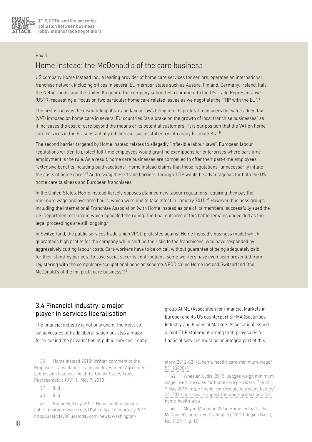

#### Box 3

## Home Instead: the McDonald's of the care business

US company Home Instead Inc., a leading provider of home care services for seniors, operates an international franchise network including offices in several EU member states such as Austria, Finland, Germany, Ireland, Italy, the Netherlands, and the United Kingdom. The company submitted a comment to the US Trade Representative (USTR) requesting a "focus on two particular home care related issues as we negotiate the TTIP with the EU".38

The first issue was the dismantling of tax and labour laws biting into its profits. It considers the value added tax (VAT) imposed on home care in several EU countries "as a brake on the growth of local franchise businesses" as it increases the cost of care beyond the means of its potential customers: "It is our position that the VAT on home care services in the EU substantially inhibits our successful entry into many EU markets."39

The second barrier targeted by Home Instead relates to allegedly "inflexible labour laws". European labour regulations written to protect full-time employees would grant no exemptions for enterprises where part-time employment is the rule. As a result, home care businesses are compelled to offer their part-time employees "extensive benefits including paid vacations". Home Instead claims that these regulations "unnecessarily inflate the costs of home care".40 Addressing these 'trade barriers' through TTIP would be advantageous for both the US home care business and European franchisees.

In the United States, Home Instead fiercely opposes planned new labour regulations requiring they pay the minimum wage and overtime hours, which were due to take effect in January 2015.<sup>41</sup> However, business groups including the International Franchise Association (with Home Instead as one of its members) successfully sued the US-Department of Labour, which appealed the ruling. The final outcome of this battle remains undecided as the legal proceedings are still ongoing.<sup>42</sup>

In Switzerland, the public services trade union VPOD protested against Home Instead's business model which guarantees high profits for the company while shifting the risks to the franchisees, who have responded by aggressively cutting labour costs. Care workers have to be on call without guarantee of being adequately paid for their stand-by periods. To save social security contributions, some workers have even been prevented from registering with the compulsory occupational pension scheme. VPOD called Home Instead Switzerland "the McDonald's of the for-profit care business".<sup>43</sup>

## 3.4 Financial industry: a major player in services liberalisation

The financial industry is not only one of the most vocal advocates of trade liberalisation but also a major force behind the privatisation of public services. Lobby

38 Home Instead 2013: Written comment to the Proposed Transatlantic Trade and Investment Agreement, submission to a hearing of the United States Trade Representative (USTR), May 9, 2013

40 Ibid.

41 Kennedy, Kelly, 2012: Home health industry fights minimum wage rule, USA Today, 16 February 2012: [http://usatoday30.usatoday.com/news/washington/](http://usatoday30.usatoday.com/news/washington/
story/2012-02-15/home-health-care-minimum-wage/
53110228/1)

group AFME (Association for Financial Markets in Europe) and its US counterpart SIFMA (Securities Industry and Financial Markets Association) issued a joint TTIP statement urging that "provisions for financial services must be an integral part of this

#### [story/2012-02-15/home-health-care-minimum-wage/](http://usatoday30.usatoday.com/news/washington/
story/2012-02-15/home-health-care-minimum-wage/
53110228/1) [53110228/1](http://usatoday30.usatoday.com/news/washington/
story/2012-02-15/home-health-care-minimum-wage/
53110228/1)

42 Wheeler, Lydia, 2015: Judges weigh minimum wage, overtime rules for home care providers, The Hill, 7 May 2015: [http://thehill.com/regulation/court-battles/](http://thehill.com/regulation/court-battles/
241331-court-hears-appeal-for-wage-protections-for-home-health-aids) [241331-court-hears-appeal-for-wage-protections-for](http://thehill.com/regulation/court-battles/
241331-court-hears-appeal-for-wage-protections-for-home-health-aids)[home-health-aids](http://thehill.com/regulation/court-battles/
241331-court-hears-appeal-for-wage-protections-for-home-health-aids)

43 Meyer, Marianne 2014: Home Instead – der McDonald's unter den Profitspitex, VPOD Region Basel, No. 2, 2014, p. 10

<sup>39</sup> Ibid.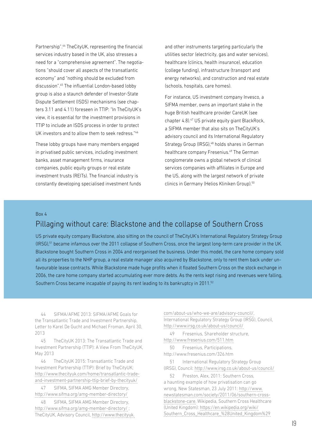Partnership".44 TheCityUK, representing the financial services industry based in the UK, also stresses a need for a "comprehensive agreement". The negotiations "should cover all aspects of the transatlantic economy" and "nothing should be excluded from discussion".45 The influential London-based lobby group is also a staunch defender of Investor-State Dispute Settlement (ISDS) mechanisms (see chapters 3.11 and 4.11) foreseen in TTIP: "In TheCityUK's view, it is essential for the investment provisions in TTIP to include an ISDS process in order to protect UK investors and to allow them to seek redress."46

These lobby groups have many members engaged in privatised public services, including investment banks, asset management firms, insurance companies, public equity groups or real estate investment trusts (REITs). The financial industry is constantly developing specialised investment funds and other instruments targeting particularly the utilities sector (electricity, gas and water services), healthcare (clinics, health insurance), education (college funding), infrastructure (transport and energy networks), and construction and real estate (schools, hospitals, care homes).

For instance, US investment company Invesco, a SIFMA member, owns an important stake in the huge British healthcare provider CareUK (see chapter 4.8).<sup>47</sup> US private equity giant BlackRock, a SIFMA member that also sits on TheCityUK's advisory council and its International Regulatory Strategy Group (IRSG),<sup>48</sup> holds shares in German healthcare company Fresenius.<sup>49</sup> The German conglomerate owns a global network of clinical services companies with affiliates in Europe and the US, along with the largest network of private clinics in Germany (Helios Kliniken Group).<sup>50</sup>

#### Box 4

## Pillaging without care: Blackstone and the collapse of Southern Cross

US private equity company Blackstone, also sitting on the council of TheCityUK's International Regulatory Strategy Group (IRSG),51 became infamous over the 2011 collapse of Southern Cross, once the largest long-term care provider in the UK. Blackstone bought Southern Cross in 2004 and reorganised the business. Under this model, the care home company sold all its properties to the NHP group, a real estate manager also acquired by Blackstone, only to rent them back under unfavourable lease contracts. While Blackstone made huge profits when it floated Southern Cross on the stock exchange in 2006, the care home company started accumulating ever more debts. As the rents kept rising and revenues were falling, Southern Cross became incapable of paying its rent leading to its bankruptcy in 2011.<sup>52</sup>

44 SIFMA/AFME 2013: SIFMA/AFME Goals for the Transatlantic Trade and Investment Partnership, Letter to Karel De Gucht and Michael Froman, April 30, 2013

45 TheCityUK 2013: The Transatlantic Trade and Investment Partnership (TTIP): A View From TheCityUK, May 2013

46 TheCityUK 2015: Transatlantic Trade and Investment Partnership (TTIP): Brief by TheCityUK; [http://www.thecityuk.com/home/transatlantic-trade](http://www.thecityuk.com/home/transatlantic-trade-and-investment-partnership-ttip-brief-by-thecityuk/)[and-investment-partnership-ttip-brief-by-thecityuk/](http://www.thecityuk.com/home/transatlantic-trade-and-investment-partnership-ttip-brief-by-thecityuk/)

47 SIFMA, SIFMA AMG Member Directory, <http://www.sifma.org/amg-member-directory/>

48 SIFMA, SIFMA AMG Member Directory, <http://www.sifma.org/amg-member-directory/> ; TheCityUK, Advisory Council, [http://www.thecityuk.](http://www.thecityuk.com/about-us/who-we-are/advisory-council/)

[com/about-us/who-we-are/advisory-council/,](http://www.thecityuk.com/about-us/who-we-are/advisory-council/) International Regulatory Strategy Group (IRSG), Council, <http://www.irsg.co.uk/about-us/council/>

49 Fresenius, Shareholder structure, <http://www.fresenius.com/511.htm>

50 Fresenius, Participations, http://www.fresenius.com/326.htm

51 International Regulatory Strategy Group (IRSG), Council:<http://www.irsg.co.uk/about-us/council/>

52 Preston, Alex, 2011: Southern Cross, a haunting example of how privatisation can go wrong, New Statesman, 23 July 2011: [http://www.](http://www.newstatesman.com/society/2011/06/southern-cross-blackstone-care) [newstatesman.com/society/2011/06/southern-cross](http://www.newstatesman.com/society/2011/06/southern-cross-blackstone-care)[blackstone-care](http://www.newstatesman.com/society/2011/06/southern-cross-blackstone-care). Wikipedia, Southern Cross Healthcare (United Kingdom): [https://en.wikipedia.org/wiki/](https://en.wikipedia.org/wiki/Southern_Cross_Healthcare_(United_Kingdom)) [Southern\\_Cross\\_Healthcare\\_%28United\\_Kingdom%29](https://en.wikipedia.org/wiki/Southern_Cross_Healthcare_(United_Kingdom))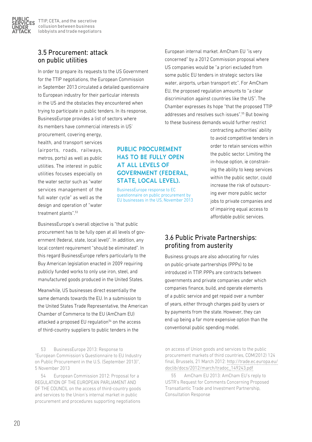PUBLIC. **SERVICES** UNDER ATTACK

## 3.5 Procurement: attack on public utilities

In order to prepare its requests to the US Government for the TTIP negotiations, the European Commission in September 2013 circulated a detailed questionnaire to European industry for their particular interests in the US and the obstacles they encountered when trying to participate in public tenders. In its response, BusinessEurope provides a list of sectors where its members have commercial interests in US'

procurement, covering energy, health, and transport services (airports, roads, railways, metros, ports) as well as public utilities. The interest in public utilities focuses especially on the water sector such as "water services management of the full water cycle" as well as the design and operation of "water treatment plants".53

## PUBLIC PROCUREMENT HAS TO BE FULLY OPEN AT ALL LEVELS OF GOVERNMENT (FEDERAL, STATE, LOCAL LEVEL).

BusinessEurope response to EC questionnaire on public procurement by EU businesses in the US, November 2013

BusinessEurope's overall objective is "that public procurement has to be fully open at all levels of government (federal, state, local level)". In addition, any local content requirement "should be eliminated". In this regard BusinessEurope refers particularly to the Buy American legislation enacted in 2009 requiring publicly funded works to only use iron, steel, and manufactured goods produced in the United States.

Meanwhile, US businesses direct essentially the same demands towards the EU. In a submission to the United States Trade Representative, the American Chamber of Commerce to the EU (AmCham EU) attacked a proposed EU regulation<sup>54</sup> on the access of third-country suppliers to public tenders in the

53 BusinessEurope 2013: Response to "European Commission's Questionnaire to EU Industry on Public Procurement in the U.S. (September 2013)", 5 November 2013

54 European Commission 2012: Proposal for a REGULATION OF THE EUROPEAN PARLIAMENT AND OF THE COUNCIL on the access of third-country goods and services to the Union's internal market in public procurement and procedures supporting negotiations

European internal market. AmCham EU "is very concerned" by a 2012 Commission proposal where US companies would be "a priori excluded from some public EU tenders in strategic sectors like water, airports, urban transport etc". For AmCham EU, the proposed regulation amounts to "a clear discrimination against countries like the US". The Chamber expresses its hope "that the proposed TTIP addresses and resolves such issues".55 But bowing to these business demands would further restrict

> contracting authorities' ability to avoid competitive tenders in order to retain services within the public sector. Limiting the in-house option, ie constraining the ability to keep services within the public sector, could increase the risk of outsourcing ever more public sector jobs to private companies and of impairing equal access to affordable public services.

## 3.6 Public Private Partnerships: profiting from austerity

Business groups are also advocating for rules on public-private partnerships (PPPs) to be introduced in TTIP. PPPs are contracts between governments and private companies under which companies finance, build, and operate elements of a public service and get repaid over a number of years, either through charges paid by users or by payments from the state. However, they can end up being a far more expensive option than the conventional public spending model.

on access of Union goods and services to the public procurement markets of third countries, COM(2012) 124 final, Brussels, 21 March 2012: [http://trade.ec.europa.eu/](http://trade.ec.europa.eu/doclib/docs/2012/march/tradoc_149243.pdf) [doclib/docs/2012/march/tradoc\\_149243.pdf](http://trade.ec.europa.eu/doclib/docs/2012/march/tradoc_149243.pdf)

55 AmCham EU 2013: AmCham EU's reply to USTR's Request for Comments Concerning Proposed Transatlantic Trade and Investment Partnership, Consultation Response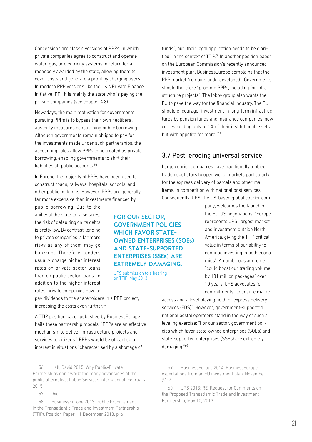Concessions are classic versions of PPPs, in which private companies agree to construct and operate water, gas, or electricity systems in return for a monopoly awarded by the state, allowing them to cover costs and generate a profit by charging users. In modern PPP versions like the UK's Private Finance Initiative (PFI) it is mainly the state who is paying the private companies (see chapter 4.8).

Nowadays, the main motivation for governments pursuing PPPs is to bypass their own neoliberal austerity measures constraining public borrowing. Although governments remain obliged to pay for the investments made under such partnerships, the accounting rules allow PPPs to be treated as private borrowing, enabling governments to shift their liabilities off public accounts.<sup>56</sup>

In Europe, the majority of PPPs have been used to construct roads, railways, hospitals, schools, and other public buildings. However, PPPs are generally far more expensive than investments financed by

public borrowing. Due to the ability of the state to raise taxes, the risk of defaulting on its debts is pretty low. By contrast, lending to private companies is far more risky as any of them may go bankrupt. Therefore, lenders usually charge higher interest rates on private sector loans than on public sector loans. In addition to the higher interest rates, private companies have to

pay dividends to the shareholders in a PPP project,

increasing the costs even further.<sup>57</sup>

A TTIP position paper published by BusinessEurope hails these partnership models: "PPPs are an effective mechanism to deliver infrastructure projects and services to citizens." PPPs would be of particular interest in situations "characterised by a shortage of

56 Hall, David 2015: Why Public-Private Partnerships don't work: the many advantages of the public alternative, Public Services International, February 2015

57 Ibid.

58 BusinessEurope 2013: Public Procurement in the Transatlantic Trade and Investment Partnership (TTIP), Position Paper, 11 December 2013, p. 6

funds", but "their legal application needs to be clarified" in the context of TTIP.<sup>58</sup> In another position paper on the European Commission's recently announced investment plan, BusinessEurope complains that the PPP market "remains underdeveloped". Governments should therefore "promote PPPs, including for infrastructure projects". The lobby group also wants the EU to pave the way for the financial industry. The EU should encourage "investment in long-term infrastructures by pension funds and insurance companies, now corresponding only to 1% of their institutional assets but with appetite for more."59

## 3.7 Post: eroding universal service

Large courier companies have traditionally lobbied trade negotiators to open world markets particularly for the express delivery of parcels and other mail items, in competition with national post services. Consequently, UPS, the US-based global courier com-

> pany, welcomes the launch of the EU-US negotiations: "Europe represents UPS' largest market and investment outside North America, giving the TTIP critical value in terms of our ability to continue investing in both economies". An ambitious agreement "could boost our trading volume by 131 million packages" over 10 years. UPS advocates for commitments "to ensure market

access and a level playing field for express delivery services (EDS)". However, government-supported national postal operators stand in the way of such a leveling exercise: "For our sector, government policies which favor state-owned enterprises (SOEs) and state-supported enterprises (SSEs) are extremely damaging."60

59 BusinessEurope 2014: BusinessEurope expectations from an EU investment plan, November 2014

60 UPS 2013: RE: Request for Comments on the Proposed Transatlantic Trade and Investment Partnership, May 10, 2013

AND STATE-SUPPORTED ENTERPRISES (SSEs) ARE EXTREMELY DAMAGING. UPS submission to a hearing on TTIP, May 2013

FOR OUR SECTOR,

GOVERNMENT POLICIES WHICH FAVOR STATE-

OWNED ENTERPRISES (SOEs)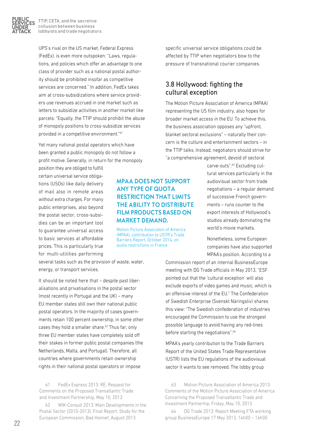

UPS's rival on the US market, Federal Express (FedEx), is even more outspoken: "Laws, regulations, and policies which offer an advantage to one class of provider such as a national postal authority should be prohibited insofar as competitive services are concerned." In addition, FedEx takes aim at cross-subsidizations where service providers use revenues accrued in one market such as letters to subsidize activities in another market like parcels: "Equally, the TTIP should prohibit the abuse of monopoly positions to cross-subsidize services provided in a competitive environment."61

Yet many national postal operators which have been granted a public monopoly do not follow a profit motive. Generally, in return for the monopoly

position they are obliged to fulfill certain universal service obligations (USOs) like daily delivery of mail also in remote areas without extra charges. For many public enterprises, also beyond the postal sector, cross-subsidies can be an important tool to guarantee universal access to basic services at affordable prices. This is particularly true for multi-utilities performing

## MPAA DOES NOT SUPPORT ANY TYPE OF QUOTA RESTRICTION THAT LIMITS THE ABILITY TO DISTRIBUTE FILM PRODUCTS BASED ON MARKET DEMAND.

Motion Picture Associaton of America (MPAA), contribution to USTR's Trade Barriers Report, October 2014, on quota restrictions in France

several tasks such as the provision of waste, water, energy, or transport services.

It should be noted here that – despite past liberalisations and privatisations in the postal sector (most recently in Portugal and the UK) – many EU member states still own their national public postal operators. In the majority of cases governments retain 100 percent ownership, in some other cases they hold a smaller share.<sup>62</sup> Thus far, only three EU member states have completely sold off their stakes in former public postal companies (the Netherlands, Malta, and Portugal). Therefore, all countries where governments retain ownership rights in their national postal operators or impose

61 FedEx Express 2013: RE: Request for Comments on the Proposed Transatlantic Trade and Investment Partnership, May 10, 2013

62 WIK-Consult 2013: Main Developments in the Postal Sector (2010-2013), Final Report, Study for the European Commission, Bad Honnef, August 2013

specific universal service obligations could be affected by TTIP when negotiators bow to the pressure of transnational courier companies.

## 3.8 Hollywood: fighting the cultural exception

The Motion Picture Association of America (MPAA) representing the US film industry, also hopes for broader market access in the EU. To achieve this, the business association opposes any "upfront, blanket sectoral exclusions" – naturally their concern is the culture and entertainment sectors – in the TTIP talks. Instead, negotiators should strive for "a comprehensive agreement, devoid of sectoral

> carve-outs".<sup>63</sup> Excluding cultural services particularly in the audiovisual sector from trade negotiations – a regular demand of successive French governments – runs counter to the export interests of Hollywood's studios already dominating the world's movie markets.

Nonetheless, some European companies have also supported MPAA's position. According to a

Commission report of an internal BusinessEurope meeting with DG Trade officials in May 2013, "ESF pointed out that the 'cultural exception' will also exclude exports of video games and music, which is an offensive interest of the EU." The Confederation of Swedish Enterprise (Svenskt Näringsliv) shares this view: "The Swedish confederation of industries encouraged the Commission to use the strongest possible language to avoid having any red-lines before starting the negotiations".<sup>64</sup>

MPAA's yearly contribution to the Trade Barriers Report of the United States Trade Representative (USTR) lists the EU regulations of the audiovisual sector it wants to see removed. The lobby group

63 Motion Picture Association of America 2013: Comments of the Motion Picture Association of America Concerning the Proposed Transatlantic Trade and Investment Partnerhip. Friday, May 10, 2013

64 DG Trade 2013: Report Meeting FTA working group BusinessEurope 17 May 2013, 14h00 – 16h00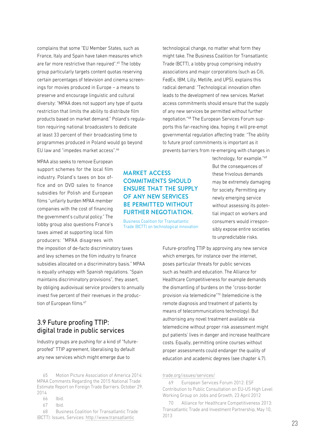complains that some "EU Member States, such as France, Italy and Spain have taken measures which are far more restrictive than required".65 The lobby group particularly targets content quotas reserving certain percentages of television and cinema screenings for movies produced in Europe – a means to preserve and encourage linguistic and cultural diversity: "MPAA does not support any type of quota restriction that limits the ability to distribute film products based on market demand." Poland's regulation requiring national broadcasters to dedicate at least 33 percent of their broadcasting time to programmes produced in Poland would go beyond EU law and "impedes market access".<sup>66</sup>

MPAA also seeks to remove European support schemes for the local film industry. Poland's taxes on box office and on DVD sales to finance subsidies for Polish and European films "unfairly burden MPAA member companies with the cost of financing the government's cultural policy." The lobby group also questions France's taxes aimed at supporting local film producers: "MPAA disagrees with

the imposition of de-facto discriminatory taxes and levy schemes on the film industry to finance subsidies allocated on a discriminatory basis." MPAA is equally unhappy with Spanish regulations. "Spain maintains discriminatory provisions", they assert, by obliging audiovisual service providers to annually invest five percent of their revenues in the production of European films.<sup>67</sup>

## 3.9 Future proofing TTIP: digital trade in public services

Industry groups are pushing for a kind of "futureproofed" TTIP agreement, liberalising by default any new services which might emerge due to

67 Ibid.

68 Business Coalition for Transatlantic Trade (BCTT): Issues, Services: [http://www.transatlantic](http://www.transatlantictrade.org/issues/services/http://)

MARKET ACCESS COMMITMENTS SHOULD ENSURE THAT THE SUPPLY

OF ANY NEW SERVICES BE PERMITTED WITHOUT FURTHER NEGOTIATION.

Business Coalition for Transatlantic Trade (BCTT) on technological innovation

technological change, no matter what form they might take. The Business Coalition for Transatlantic Trade (BCTT), a lobby group comprising industry associations and major corporations (such as Citi, FedEx, IBM, Lilly, Metlife, and UPS), explains this radical demand: "Technological innovation often leads to the development of new services. Market access commitments should ensure that the supply of any new services be permitted without further negotiation."68 The European Services Forum supports this far-reaching idea, hoping it will pre-empt governmental regulation affecting trade: "The ability to future proof commitments is important as it prevents barriers from re-emerging with changes in

> technology, for example."<sup>69</sup> But the consequences of these frivolous demands may be extremely damaging for society. Permitting any newly emerging service without assessing its potential impact on workers and consumers would irresponsibly expose entire societies to unpredictable risks.

Future-proofing TTIP by approving any new service which emerges, for instance over the internet, poses particular threats for public services such as health and education. The Alliance for Healthcare Competitiveness for example demands the dismantling of burdens on the "cross-border provision via telemedicine"70 (telemedicine is the remote diagnosis and treatment of patients by means of telecommunications technology). But authorising any novel treatment available via telemedicine without proper risk assessment might put patients' lives in danger and increase healthcare costs. Equally, permitting online courses without proper assessments could endanger the quality of education and academic degrees (see chapter 4.7).

#### [trade.org/issues/services/](http://www.transatlantictrade.org/issues/services/http://)

69 European Services Forum 2012: ESF Contribution to Public Consultation on EU-US High Level Working Group on Jobs and Growth, 23 April 2012

70 Alliance for Healthcare Competitiveness 2013: Transatlantic Trade and Investment Partnership, May 10, 2013

<sup>65</sup> Motion Picture Association of America 2014: MPAA Comments Regarding the 2015 National Trade Estimate Report on Foreign Trade Barriers. October 29, 2014

<sup>66</sup> Ibid.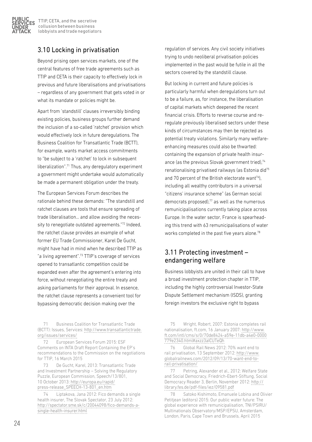

## 3.10 Locking in privatisation

Beyond prising open services markets, one of the central features of free trade agreements such as TTIP and CETA is their capacity to effectively lock in previous and future liberalisations and privatisations – regardless of any government that gets voted in or what its mandate or policies might be.

Apart from 'standstill' clauses irreversibly binding existing policies, business groups further demand the inclusion of a so-called 'ratchet' provision which would effectively lock in future deregulations. The Business Coalition for Transatlantic Trade (BCTT), for example, wants market access commitments to "be subject to a 'ratchet' to lock in subsequent liberalization".71 Thus, any deregulatory experiment a government might undertake would automatically be made a permanent obligation under the treaty.

The European Services Forum describes the rationale behind these demands: "The standstill and ratchet clauses are tools that ensure spreading of trade liberalisation… and allow avoiding the necessity to renegotiate outdated agreements."72 Indeed, the ratchet clause provides an example of what former EU Trade Commissioner, Karel De Gucht, might have had in mind when he described TTIP as "a living agreement".73 TTIP's coverage of services opened to transatlantic competition could be expanded even after the agreement's entering into force, without renegotiating the entire treaty and asking parliaments for their approval. In essence, the ratchet clause represents a convenient tool for bypassing democratic decision making over the

71 Business Coalition for Transatlantic Trade (BCTT): Issues, Services: [http://www.transatlantictrade.](http://www.transatlantictrade.org/issues/services/) [org/issues/services/](http://www.transatlantictrade.org/issues/services/)

72 European Services Forum 2015: ESF Comments on INTA Draft Report Containing the EP's recommendations to the Commission on the negotiations for TTIP, 16 March 2015

73 De Gucht, Karel, 2013: Transatlantic Trade and Investment Partnership – Solving the Regulatory Puzzle, European Commission, Speech/13/801, 10 October 2013: [http://europa.eu/rapid/](http://europa.eu/rapid/press-release_SPEECH-13-801_en.htm) [press-release\\_SPEECH-13-801\\_en.htm](http://europa.eu/rapid/press-release_SPEECH-13-801_en.htm)

74 Liptakova, Jana 2012: Fico demands a single health insurer, The Slovak Spectator, 23 July 2012: [http://spectator.sme.sk/c/20044098/fico-demands-a](http://spectator.sme.sk/c/20044098/fico-demands-a-single-health-insurer.html)[single-health-insurer.html](http://spectator.sme.sk/c/20044098/fico-demands-a-single-health-insurer.html)

regulation of services. Any civil society initiatives trying to undo neoliberal privatisation policies implemented in the past would be futile in all the sectors covered by the standstill clause.

But locking in current and future policies is particularly harmful when deregulations turn out to be a failure, as, for instance, the liberalisation of capital markets which deepened the recent financial crisis. Efforts to reverse course and reregulate previously liberalised sectors under these kinds of circumstances may then be rejected as potential treaty violations. Similarly many welfareenhancing measures could also be thwarted: containing the expansion of private health insurance (as the previous Slovak government tried),<sup>74</sup> renationalising privatised railways (as Estonia did75 and 70 percent of the British electorate want $76$ ), including all wealthy contributors in a universal "citizens' insurance scheme" (as German social democrats proposed), $77$  as well as the numerous remunicipalisations currently taking place across Europe. In the water sector, France is spearheading this trend with 63 remunicipalisations of water works completed in the past five years alone.<sup>78</sup>

## 3.11 Protecting investment – endangering welfare

Business lobbyists are united in their call to have a broad investment protection chapter in TTIP, including the highly controversial Investor-State Dispute Settlement mechanism (ISDS), granting foreign investors the exclusive right to bypass

76 Global Rail News 2012: 70% want end to rail privatisation, 13 September 2012: [http://www.](http://www.globalrailnews.com/2012/09/13/70-want-end-to-
rail-privatisation/) [globalrailnews.com/2012/09/13/70-want-end-to](http://www.globalrailnews.com/2012/09/13/70-want-end-to-
rail-privatisation/)[rail-privatisation/](http://www.globalrailnews.com/2012/09/13/70-want-end-to-
rail-privatisation/)

77 Petring, Alexander et al., 2012: Welfare State and Social Democracy, Friedrich-Ebert-Stiftung, Social Democracy Reader 3, Berlin, November 2012: [http://](http://library.fes.de/pdf-files/iez/09581.pdf) [library.fes.de/pdf-files/iez/09581.pdf](http://library.fes.de/pdf-files/iez/09581.pdf)

78 Satoko Kishimoto, Emanuele Lobina and Olivier Petitjean (editors) 2015: Our public water future: The global experience with remunicipalisation, TNI/PSIRU/ Multinationals Observatory/MSP/EPSU, Amsterdam, London, Paris, Cape Town and Brussels, April 2015

<sup>75</sup> Wright, Robert, 2007: Estonia completes rail nationalisation, ft.com, 16 January 2007: [http://www.](http://www.ft.com/intl/cms/s/0/70de8424-a59e-11db-a4e0-0000
779e2340.html#axzz3aICUTeQh) [ft.com/intl/cms/s/0/70de8424-a59e-11db-a4e0-0000](http://www.ft.com/intl/cms/s/0/70de8424-a59e-11db-a4e0-0000
779e2340.html#axzz3aICUTeQh) [779e2340.html#axzz3aICUTeQh](http://www.ft.com/intl/cms/s/0/70de8424-a59e-11db-a4e0-0000
779e2340.html#axzz3aICUTeQh)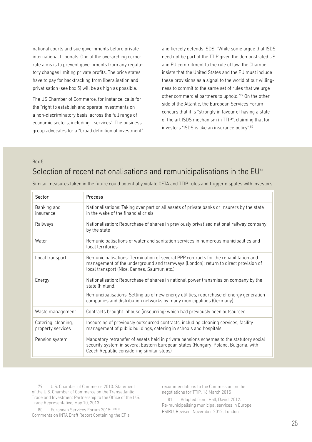national courts and sue governments before private international tribunals. One of the overarching corporate aims is to prevent governments from any regulatory changes limiting private profits. The price states have to pay for backtracking from liberalisation and privatisation (see box 5) will be as high as possible.

The US Chamber of Commerce, for instance, calls for the "right to establish and operate investments on a non-discriminatory basis, across the full range of economic sectors, including… services". The business group advocates for a "broad definition of investment"

and fiercely defends ISDS: "While some argue that ISDS need not be part of the TTIP given the demonstrated US and EU commitment to the rule of law, the Chamber insists that the United States and the EU must include these provisions as a signal to the world of our willingness to commit to the same set of rules that we urge other commercial partners to uphold."<sup>79</sup> On the other side of the Atlantic, the European Services Forum concurs that it is "strongly in favour of having a state of the art ISDS mechanism in TTIP", claiming that for investors "ISDS is like an insurance policy".80

## Box 5 Selection of recent nationalisations and remunicipalisations in the EU<sup>81</sup>

| Sector                                   | Process                                                                                                                                                                                                                                                                   |
|------------------------------------------|---------------------------------------------------------------------------------------------------------------------------------------------------------------------------------------------------------------------------------------------------------------------------|
| Banking and<br>insurance                 | Nationalisations: Taking over part or all assets of private banks or insurers by the state<br>in the wake of the financial crisis                                                                                                                                         |
| Railways                                 | Nationalisation: Repurchase of shares in previously privatised national railway company<br>by the state                                                                                                                                                                   |
| Water                                    | Remunicipalisations of water and sanitation services in numerous municipalities and<br>local territories                                                                                                                                                                  |
| Local transport                          | Remunicipalisations: Termination of several PPP contracts for the rehabilitation and<br>management of the underground and tramways (London); return to direct provision of<br>local transport (Nice, Cannes, Saumur, etc.)                                                |
| Energy                                   | Nationalisation: Repurchase of shares in national power transmission company by the<br>state (Finland)<br>Remuncipalisations: Setting up of new energy utilities, repurchase of energy generation<br>companies and distribution networks by many municipalities (Germany) |
| Waste management                         | Contracts brought inhouse (insourcing) which had previously been outsourced                                                                                                                                                                                               |
| Catering, cleaning,<br>property services | Insourcing of previously outsourced contracts, including cleaning services, facility<br>management of public buildings, catering in schools and hospitals                                                                                                                 |
| Pension system                           | Mandatory retransfer of assets held in private pensions schemes to the statutory social<br>security system in several Eastern European states (Hungary, Poland, Bulgaria, with<br>Czech Republic considering similar steps)                                               |

Similar measures taken in the future could potentially violate CETA and TTIP rules and trigger disputes with investors.

79 U.S. Chamber of Commerce 2013: Statement of the U.S. Chamber of Commerce on the Transatlantic Trade and Investment Partnership to the Office of the U.S. Trade Representative, May 10, 2013

80 European Services Forum 2015: ESF Comments on INTA Draft Report Containing the EP's recommendations to the Commission on the negotiations for TTIP, 16 March 2015

81 Adapted from: Hall, David, 2012: Re-municipalising municipal services in Europe, PSIRU, Revised, November 2012, London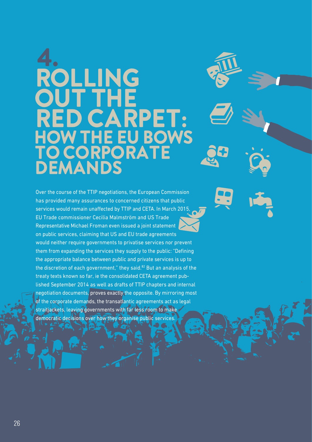## 4. ROLLING OUT THE RED CARPET: **HOW THE EU BOWS** TO CORPORATE DEMANDS

Over the course of the TTIP negotiations, the European Commission has provided many assurances to concerned citizens that public services would remain unaffected by TTIP and CETA. In March 2015, EU Trade commissioner Cecilia Malmström and US Trade Representative Michael Froman even issued a joint statement on public services, claiming that US and EU trade agreements would neither require governments to privatise services nor prevent them from expanding the services they supply to the public: "Defining the appropriate balance between public and private services is up to the discretion of each government." they said.<sup>82</sup> But an analysis of the treaty texts known so far, ie the consolidated CETA agreement published September 2014 as well as drafts of TTIP chapters and internal negotiation documents, proves exactly the opposite. By mirroring most of the corporate demands, the transatlantic agreements act as legal straitjackets, leaving governments with far less room to make democratic decisions over how they organise public services.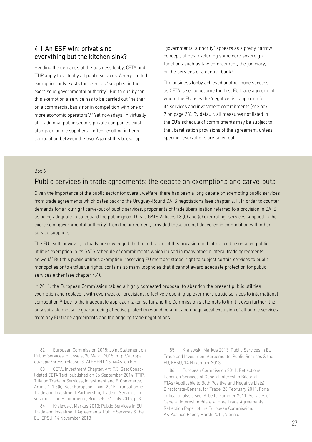## 4.1 An ESF win: privatising everything but the kitchen sink?

Heeding the demands of the business lobby, CETA and TTIP apply to virtually all public services. A very limited exemption only exists for services "supplied in the exercise of governmental authority". But to qualify for this exemption a service has to be carried out "neither on a commercial basis nor in competition with one or more economic operators".83 Yet nowadays, in virtually all traditional public sectors private companies exist alongside public suppliers – often resulting in fierce competition between the two. Against this backdrop

"governmental authority" appears as a pretty narrow concept, at best excluding some core sovereign functions such as law enforcement, the judiciary, or the services of a central bank.<sup>84</sup>

The business lobby achieved another huge success as CETA is set to become the first EU trade agreement where the EU uses the 'negative list' approach for its services and investment commitments (see box 7 on page 28). By default, all measures not listed in the EU's schedule of commitments may be subject to the liberalisation provisions of the agreement, unless specific reservations are taken out.

#### Box 6

## Public services in trade agreements: the debate on exemptions and carve-outs

Given the importance of the public sector for overall welfare, there has been a long debate on exempting public services from trade agreements which dates back to the Uruguay-Round GATS negotiations (see chapter 2.1). In order to counter demands for an outright carve-out of public services, proponents of trade liberalisation referred to a provision in GATS as being adequate to safeguard the public good. This is GATS Articles I.3 (b) and (c) exempting "services supplied in the exercise of governmental authority" from the agreement, provided these are not delivered in competition with other service suppliers.

The EU itself, however, actually acknowledged the limited scope of this provision and introduced a so-called public utilities exemption in its GATS schedule of commitments which it used in many other bilateral trade agreements as well.<sup>85</sup> But this public utilities exemption, reserving EU member states' right to subject certain services to public monopolies or to exclusive rights, contains so many loopholes that it cannot award adequate protection for public services either (see chapter 4.4).

In 2011, the European Commission tabled a highly contested proposal to abandon the present public utilities exemption and replace it with even weaker provisions, effectively opening up ever more public services to international competition.86 Due to the inadequate approach taken so far and the Commission's attempts to limit it even further, the only suitable measure guaranteeing effective protection would be a full and unequivocal exclusion of all public services from any EU trade agreements and the ongoing trade negotiations.

82 European Commission 2015: Joint Statement on Public Services, Brussels, 20 March 2015: [http://europa.](http://europa.eu/rapid/press-release_STATEMENT-15-4646_en.htm) [eu/rapid/press-release\\_STATEMENT-15-4646\\_en.htm](http://europa.eu/rapid/press-release_STATEMENT-15-4646_en.htm)

83 CETA, Investment Chapter, Art. X.3. See: Consolidated CETA Text, published on 26 September 2014. TTIP, Title on Trade in Services, Investment and E-Commerce, Article 1-1.3(k). See: European Union 2015: Transatlantic Trade and Investment Partnership, Trade in Services, Investment and E-commerce, Brussels, 31 July 2015, p. 3

84 Krajewski, Markus 2013: Public Services in EU Trade and Investment Agreements, Public Services & the EU, EPSU, 14 November 2013

85 Krajewski, Markus 2013: Public Services in EU Trade and Investment Agreements, Public Services & the EU, EPSU, 14 November 2013

86 European Commission 2011: Reflections Paper on Services of General Interest in Bilateral FTAs (Applicable to Both Positive and Negative Lists), Directorate-General for Trade, 28 February 2011. For a critical analysis see: Arbeiterkammer 2011: Services of General Interest in Bilateral Free Trade Agreements – Reflection Paper of the European Commission, AK Position Paper, March 2011, Vienna.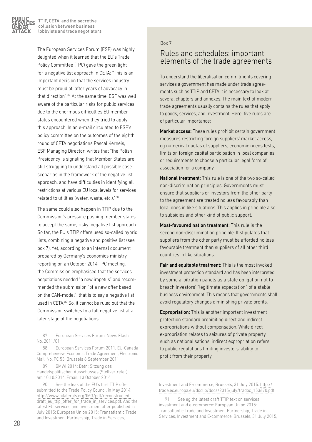

The European Services Forum (ESF) was highly delighted when it learned that the EU's Trade Policy Committee (TPC) gave the green light for a negative list approach in CETA: "This is an important decision that the services industry must be proud of, after years of advocacy in that direction" <sup>87</sup> At the same time, FSF was well aware of the particular risks for public services due to the enormous difficulties EU member states encountered when they tried to apply this approach. In an e-mail circulated to ESF's policy committee on the outcomes of the eighth round of CETA negotiations Pascal Kerneis, ESF Managing Director, writes that "the Polish Presidency is signaling that Member States are still struggling to understand all possible case scenarios in the framework of the negative list approach, and have difficulties in identifying all restrictions at various EU local levels for services related to utilities (water, waste, etc.)."88

The same could also happen in TTIP due to the Commission's pressure pushing member states to accept the same, risky, negative list approach. So far, the EU's TTIP offers used so-called hybrid lists, combining a negative and positive list (see box 7). Yet, according to an internal document prepared by Germany's economics ministry reporting on an October 2014 TPC meeting, the Commission emphasised that the services negotiations needed "a new impetus" and recommended the submission "of a new offer based on the CAN-model", that is to say a negative list used in CETA.89 So, it cannot be ruled out that the Commission switches to a full negative list at a later stage of the negotiations.

87 European Services Forum, News Flash No. 2011/01

88 European Services Forum 2011, EU-Canada Comprehensive Economic Trade Agreement, Electronic Mail, No. PC 53, Brussels 8 September 2011

89 BMWI 2014: Betr.: Sitzung des Handelspolitischen Ausschusses (Stellvertreter) am 10.10.2014, Email, 13 October 2014

90 See the leak of the EU's first TTIP offer submitted to the Trade Policy Council in May 2014: [http://www.bilaterals.org/IMG/pdf/reconstructed](http://www.bilaterals.org/IMG/pdf/reconstructed-draft_eu_ttip_offer_for_trade_in_services.pdf)[draft\\_eu\\_ttip\\_offer\\_for\\_trade\\_in\\_services.pdf](http://www.bilaterals.org/IMG/pdf/reconstructed-draft_eu_ttip_offer_for_trade_in_services.pdf). And the latest EU services and investment offer published in July 2015: European Union 2015: Transatlantic Trade and Investment Partnership, Trade in Services,

#### Box 7

## Rules and schedules: important elements of the trade agreements

To understand the liberalisation commitments covering services a government has made under trade agreements such as TTIP and CETA it is necessary to look at several chapters and annexes. The main text of modern trade agreements usually contains the rules that apply to goods, services, and investment. Here, five rules are of particular importance:

Market access: These rules prohibit certain government measures restricting foreign suppliers' market access, eg numerical quotas of suppliers, economic needs tests, limits on foreign capital participation in local companies, or requirements to choose a particular legal form of association for a company.

National treatment: This rule is one of the two so-called non-discrimination principles. Governments must ensure that suppliers or investors from the other party to the agreement are treated no less favourably than local ones in like situations. This applies in principle also to subsidies and other kind of public support.

Most-favoured nation treatment: This rule is the second non-discrimination principle. It stipulates that suppliers from the other party must be afforded no less favourable treatment than suppliers of all other third countries in like situations.

Fair and equitable treatment: This is the most invoked investment protection standard and has been interpreted by some arbitration panels as a state obligation not to breach investors' "legitimate expectation" of a stable business environment. This means that governments shall avoid regulatory changes diminishing private profits.

Expropriation: This is another important investment protection standard prohibiting direct and indirect expropriations without compensation. While direct expropriation relates to seizures of private property such as nationalisations, indirect expropriation refers to public regulations limiting investors' ability to profit from their property.

Investment and E-commerce, Brussels, 31 July 2015: [http://](http://trade.ec.europa.eu/doclib/docs/2015/july/tradoc_153670.pdf) [trade.ec.europa.eu/doclib/docs/2015/july/tradoc\\_153670.pdf](http://trade.ec.europa.eu/doclib/docs/2015/july/tradoc_153670.pdf)

91 See eg the latest draft TTIP text on services, investment and e-commerce: European Union 2015: Transatlantic Trade and Investment Partnership, Trade in Services, Investment and E-commerce, Brussels, 31 July 2015,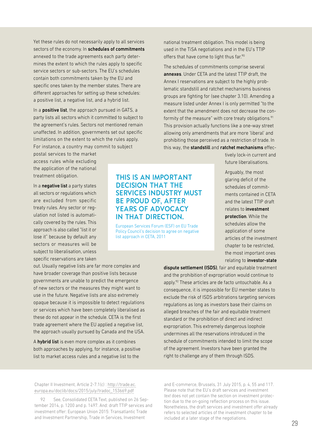Yet these rules do not necessarily apply to all services sectors of the economy. In schedules of commitments annexed to the trade agreements each party determines the extent to which the rules apply to specific service sectors or sub-sectors. The EU's schedules contain both commitments taken by the EU and specific ones taken by the member states. There are different approaches for setting up these schedules: a positive list, a negative list, and a hybrid list.

In a **positive list**, the approach pursued in GATS, a party lists all sectors which it committed to subject to the agreement's rules. Sectors not mentioned remain unaffected. In addition, governments set out specific limitations on the extent to which the rules apply. For instance, a country may commit to subject

> THIS IS AN IMPORTANT DECISION THAT THE

BE PROUD OF, AFTER YEARS OF ADVOCACY IN THAT DIRECTION.

list approach in CETA, 2011

SERVICES INDUSTRY MUST

European Services Forum (ESF) on EU Trade Policy Council's decision to agree on negative

postal services to the market access rules while excluding the application of the national treatment obligation.

In a negative list a party states all sectors or regulations which are excluded from specific treaty rules. Any sector or regulation not listed is automatically covered by the rules. This approach is also called "list it or lose it" because by default any sectors or measures will be subject to liberalisation, unless specific reservations are taken

## out. Usually negative lists are far more complex and have broader coverage than positive lists because governments are unable to predict the emergence of new sectors or the measures they might want to use in the future. Negative lists are also extremely opaque because it is impossible to detect regulations or services which have been completely liberalised as these do not appear in the schedule. CETA is the first trade agreement where the EU applied a negative list,

A hybrid list is even more complex as it combines both approaches by applying, for instance, a positive list to market access rules and a negative list to the

the approach usually pursued by Canada and the USA.

national treatment obligation. This model is being used in the TiSA negotiations and in the EU's TTIP offers that have come to light thus far.<sup>90</sup>

The schedules of commitments comprise several annexes. Under CETA and the latest TTIP draft, the Annex I reservations are subject to the highly problematic standstill and ratchet mechanisms business groups are fighting for (see chapter 3.10). Amending a measure listed under Annex I is only permitted "to the extent that the amendment does not decrease the conformity of the measure" with core treaty obligations.<sup>91</sup> This provision actually functions like a one-way street allowing only amendments that are more 'liberal' and prohibiting those perceived as a restriction of trade. In this way, the standstill and ratchet mechanisms effec-

> tively lock-in current and future liberalisations.

Arguably, the most glaring deficit of the schedules of commitments contained in CETA and the latest TTIP draft relates to investment protection. While the schedules allow the application of some articles of the investment chapter to be restricted, the most important ones relating to investor-state

dispute settlement (ISDS), fair and equitable treatment and the prohibition of expropriation would continue to apply.<sup>92</sup> These articles are de facto untouchable. As a consequence, it is impossible for EU member states to exclude the risk of ISDS arbitrations targeting services regulations as long as investors base their claims on alleged breaches of the fair and equitable treatment standard or the prohibition of direct and indirect expropriation. This extremely dangerous loophole undermines all the reservations introduced in the schedule of commitments intended to limit the scope of the agreement. Investors have been granted the right to challenge any of them through ISDS.

Chapter II Investment, Article 2-7.1(c) : [http://trade.ec.](http://trade.ec.europa.eu/doclib/docs/2015/july/tradoc_153669.pdf) [europa.eu/doclib/docs/2015/july/tradoc\\_153669.pdf](http://trade.ec.europa.eu/doclib/docs/2015/july/tradoc_153669.pdf)

92 See, Consolidated CETA Text, published on 26 September 2014, p. 1200 and p. 1497. And: draft TTIP services and investment offer: European Union 2015: Transatlantic Trade and Investment Partnership, Trade in Services, Investment

and E-commerce, Brussels, 31 July 2015, p. 4, 55 and 117. Please note that the EU's draft services and investment *text* does not yet contain the section on investment protection due to the on-going reflection process on this issue. Nonetheless, the draft services and investment *offer* already refers to selected articles of the investment chapter to be included at a later stage of the negotiations.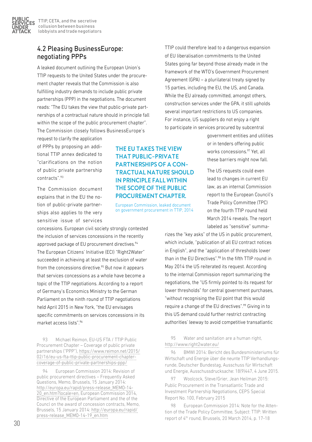PUBLIC.

UNDER ATTACK

## 4.2 Pleasing BusinessEurope: negotiating PPPs

A leaked document outlining the European Union's TTIP requests to the United States under the procurement chapter reveals that the Commission is also fulfilling industry demands to include public private partnerships (PPP) in the negotiations. The document reads: "The EU takes the view that public-private partnerships of a contractual nature should in principle fall within the scope of the public procurement chapter". The Commission closely follows BusinessEurope's

request to clarify the application of PPPs by proposing an additional TTIP annex dedicated to "clarifications on the notion of public private partnership contracts".93

The Commission document explains that in the EU the notion of public-private partnerships also applies to the very sensitive issue of services

concessions. European civil society strongly contested the inclusion of services concessions in the recently approved package of EU procurement directives.<sup>94</sup> The European Citizens' Initiative (ECI) "Right2Water" succeeded in achieving at least the exclusion of water from the concessions directive.<sup>95</sup> But now it appears that services concessions as a whole have become a topic of the TTIP negotiations. According to a report of Germany's Economics Ministry to the German Parliament on the ninth round of TTIP negotiations held April 2015 in New York, "the EU envisages specific commitments on services concessions in its market access lists".96

93 Michael Reimon, EU-US FTA / TTIP Public Procurement Chapter – Coverage of public private partnerships ("PPP"), [https://www.reimon.net/2015/](https://www.reimon.net/2015/02/16/eu-us-fta-ttip-public-procurement-chapter-coverage-of-public-private-partnerships-ppp/) [02/16/eu-us-fta-ttip-public-procurement-chapter](https://www.reimon.net/2015/02/16/eu-us-fta-ttip-public-procurement-chapter-coverage-of-public-private-partnerships-ppp/)[coverage-of-public-private-partnerships-ppp/](https://www.reimon.net/2015/02/16/eu-us-fta-ttip-public-procurement-chapter-coverage-of-public-private-partnerships-ppp/)

94 European Commission 2014: Revision of public procurement directives – Frequently Asked Questions, Memo, Brussels, 15 January 2014: [http://europa.eu/rapid/press-release\\_MEMO-14-](http://europa.eu/rapid/press-release_MEMO-14-20_en.htm?locale=en) [20\\_en.htm?locale=en,](http://europa.eu/rapid/press-release_MEMO-14-20_en.htm?locale=en) European Commission 2014, Directive of the European Parliament and the of the Councl on the award of concession contracts, Memo, Brussels, 15 January 2014: [http://europa.eu/rapid/](http://europa.eu/rapid/press-release_MEMO-14-19_en.htm) [press-release\\_MEMO-14-19\\_en.htm](http://europa.eu/rapid/press-release_MEMO-14-19_en.htm)

## THE EU TAKES THE VIEW THAT PUBLIC-PRIVATE PARTNERSHIPS OF A CON-TRACTUAL NATURE SHOULD IN PRINCIPLE FALL WITHIN THE SCOPE OF THE PUBLIC PROCUREMENT CHAPTER.

European Commission, leaked document on government procurement in TTIP, 2014

TTIP could therefore lead to a dangerous expansion of EU liberalisation commitments to the United States going far beyond those already made in the framework of the WTO's Government Procurement Agreement (GPA) – a plurilateral treaty signed by 15 parties, including the EU, the US, and Canada. While the EU already committed, amongst others, construction services under the GPA, it still upholds several important restrictions to US companies. For instance, US suppliers do not enjoy a right to participate in services procured by subcentral

government entities and utilities or in tenders offering public works concessions.<sup>97</sup> Yet, all these barriers might now fall.

The US requests could even lead to changes in current EU law, as an internal Commission report to the European Council's Trade Policy Committee (TPC) on the fourth TTIP round held March 2014 reveals. The report labeled as "sensitive" summa-

rizes the "key asks" of the US in public procurement, which include, "publication of all EU contract notices in English", and the "application of thresholds lower than in the EU Directives".<sup>98</sup> In the fifth TTIP round in May 2014 the US reiterated its request. According to the internal Commission report summarizing the negotiations, the "US firmly pointed to its request for lower thresholds" for central government purchases, "without recognising the EU point that this would require a change of the EU directives".<sup>99</sup> Giving in to this US demand could further restrict contracting authorities' leeway to avoid competitive transatlantic

95 Water and sanitation are a human right, <http://www.right2water.eu/>

96 BMWI 2014: Bericht des Bundesministeriums für Wirtschaft und Energie über die neunte TTIP Verhandlungsrunde, Deutscher Bundestag, Ausschuss für Wirtschaft und Energie, Ausschussdrucksache: 18(9)447, 4 June 2015.

97 Woolcock, Steve/Grier, Jean Heilman 2015: Public Procurement in the Transatlantic Trade and Investment Partnership Negotiations, CEPS Special Report No. 100, February 2015

98 European Commission 2014: Note for the Attention of the Trade Policy Committee, Subject: TTIP: Written report of 4<sup>th</sup> round, Brussels, 20 March 2014, p. 17-18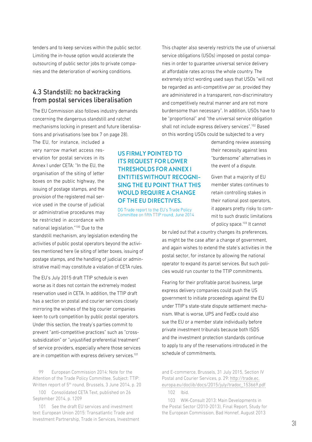tenders and to keep services within the public sector. Limiting the in-house option would accelerate the outsourcing of public sector jobs to private companies and the deterioration of working conditions.

## 4.3 Standstill: no backtracking from postal services liberalisation

The EU Commission also follows industry demands concerning the dangerous standstill and ratchet mechanisms locking in present and future liberalisations and privatisations (see box 7 on page 28).

The EU, for instance, included a very narrow market access reservation for postal services in its Annex I under CETA: "In the EU, the organisation of the siting of letter boxes on the public highway, the issuing of postage stamps, and the provision of the registered mail service used in the course of judicial or administrative procedures may be restricted in accordance with national legislation."100 Due to the

standstill mechanism, any legislation extending the activities of public postal operators beyond the activities mentioned here (ie siting of letter boxes, issuing of postage stamps, and the handling of judicial or administrative mail) may constitute a violation of CETA rules.

The EU's July 2015 draft TTIP schedule is even worse as it does not contain the extremely modest reservation used in CETA. In addition, the TTIP draft has a section on postal and courier services closely mirroring the wishes of the big courier companies keen to curb competition by public postal operators. Under this section, the treaty's parties commit to prevent "anti-competitive practices" such as "crosssubsidization" or "unjustified preferential treatment" of service providers, especially where those services are in competition with express delivery services.<sup>101</sup>

99 European Commission 2014: Note for the Attention of the Trade Policy Committee, Subject: TTIP: Written report of 5<sup>th</sup> round, Brussels, 3 June 2014, p. 20

100 Consolidated CETA Text, published on 26 September 2014, p. 1209

101 See the draft EU services and investment text: European Union 2015: Transatlantic Trade and Investment Partnership, Trade in Services, Investment

## US FIRMLY POINTED TO ITS REQUEST FOR LOWER THRESHOLDS FOR ANNEX I ENTITIES WITHOUT RECOGNI-SING THE EU POINT THAT THIS WOULD REQUIRE A CHANGE OF THE EU DIRECTIVES.

DG Trade report to the EU's Trade Policy Committee on fifth TTIP round, June 2014

This chapter also severely restricts the use of universal service obligations (USOs) imposed on postal companies in order to guarantee universal service delivery at affordable rates across the whole country. The extremely strict wording used says that USOs "will not be regarded as anti-competitive *per se*, provided they are administered in a transparent, non-discriminatory and competitively neutral manner and are not more burdensome than necessary". In addition, USOs have to be "proportional" and "the universal service obligation shall not include express delivery services".102 Based on this wording USOs could be subjected to a very

> demanding review assessing their necessity against less "burdensome" alternatives in the event of a dispute.

Given that a majority of EU member states continues to retain controlling stakes in their national post operators, it appears pretty risky to commit to such drastic limitations of policy space.<sup>103</sup> It cannot

be ruled out that a country changes its preferences, as might be the case after a change of government, and again wishes to extend the state's activities in the postal sector, for instance by allowing the national operator to expand its parcel services. But such policies would run counter to the TTIP commitments.

Fearing for their profitable parcel business, large express delivery companies could push the US government to initiate proceedings against the EU under TTIP's state-state dispute settlement mechanism. What is worse, UPS and FedEx could also sue the EU or a member state individually before private investment tribunals because both ISDS and the investment protection standards continue to apply to any of the reservations introduced in the schedule of commitments.

and E-commerce, Brussels, 31 July 2015, Section IV Postal and Courier Services, p. 29: [http://trade.ec.](http://trade.ec.europa.eu/doclib/docs/2015/july/tradoc_153669.pdf) [europa.eu/doclib/docs/2015/july/tradoc\\_153669.pdf](http://trade.ec.europa.eu/doclib/docs/2015/july/tradoc_153669.pdf) 102 Ibid.

103 WIK-Consult 2013: Main Developments in the Postal Sector (2010-2013), Final Report, Study for the European Commission, Bad Honnef, August 2013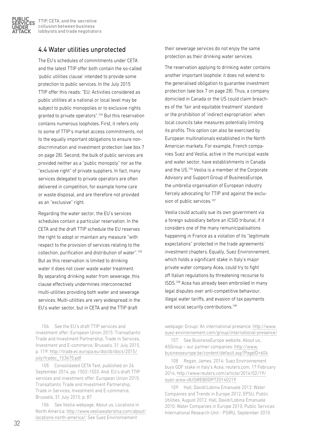

## 4.4 Water utilities unprotected

The EU's schedules of commitments under CETA and the latest TTIP offer both contain the so-called 'public utilities clause' intended to provide some protection to public services. In the July 2015 TTIP offer this reads: "EU: Activities considered as public utilities at a national or local level may be subject to public monopolies or to exclusive rights granted to private operators".104 But this reservation contains numerous loopholes. First, it refers only to some of TTIP's market access commitments, not to the equally important obligations to ensure nondiscrimination and investment protection (see box 7 on page 28). Second, the bulk of public services are provided neither as a "public monopoly" nor as the "exclusive right" of private suppliers. In fact, many services delegated to private operators are often delivered in competition, for example home care or waste disposal, and are therefore not provided as an "exclusive" right.

Regarding the water sector, the EU's services schedules contain a particular reservation. In the CETA and the draft TTIP schedule the EU reserves the right to adopt or maintain any measure "with respect to the provision of services relating to the collection, purification and distribution of water".105 But as this reservation is limited to drinking water it does not cover waste water treatment. By separating drinking water from sewerage, this clause effectively undermines interconnected multi-utilities providing both water and sewerage services. Multi-utilities are very widespread in the EU's water sector, but in CETA and the TTIP draft

104 See the EU's draft TTIP services and investment offer: European Union 2015: Transatlantic Trade and Investment Partnership, Trade in Services, Investment and E-commerce, Brussels, 31 July 2015, p. 119: [http://trade.ec.europa.eu/doclib/docs/2015/](http://trade.ec.europa.eu/doclib/docs/2015/july/tradoc_153670.pdf) [july/tradoc\\_153670.pdf](http://trade.ec.europa.eu/doclib/docs/2015/july/tradoc_153670.pdf)

105 Consolidated CETA Text, published on 26 September 2014, pp. 1502-1503. And: EU's draft TTIP services and investment offer: European Union 2015: Transatlantic Trade and Investment Partnership, Trade in Services, Investment and E-commerce, Brussels, 31 July 2015, p. 87

106 See Veolia webpage, About us, Locations in North America: [http://www.veoliawaterstna.com/about/](http://www.veoliawaterstna.com/about/locations-north-america/) [locations-north-america/;](http://www.veoliawaterstna.com/about/locations-north-america/) See Suez Environnement

their sewerage services do not enjoy the same protection as their drinking water services.

The reservation applying to drinking water contains another important loophole: it does not extend to the generalised obligation to guarantee investment protection (see box 7 on page 28). Thus, a company domiciled in Canada or the US could claim breaches of the 'fair and equitable treatment' standard or the prohibition of 'indirect expropriation' when local councils take measures potentially limiting its profits. This option can also be exercised by European multinationals established in the North American markets. For example, French companies Suez and Veolia, active in the municipal waste and water sector, have establishments in Canada and the US.106 Veolia is a member of the Corporate Advisory and Support Group of BusinessEurope, the umbrella organisation of European industry fiercely advocating for TTIP and against the exclusion of public services.<sup>107</sup>

Veolia could actually sue its own government via a foreign subsidiary before an ICSID tribunal, if it considers one of the many remunicipalisations happening in France as a violation of its "legitimate expectations" protected in the trade agreements' investment chapters. Equally, Suez Environnement, which holds a significant stake in Italy's major private water company Acea, could try to fight off Italian regulations by threatening recourse to ISDS.108 Acea has already been embroiled in many legal disputes over anti-competitive behaviour, illegal water tariffs, and evasion of tax payments and social security contributions.<sup>109</sup>

webpage: Group/ An international presence: [http://www.](http://www.suez-environnement.com/group/international-presence/) [suez-environnement.com/group/international-presence/](http://www.suez-environnement.com/group/international-presence/)

107 See BusinessEurope website, About us, ASGroup – our partner companies: [http://www.](http://www.businesseurope.be/content/default.asp?PageID=604) [businesseurope.be/content/default.asp?PageID=604](http://www.businesseurope.be/content/default.asp?PageID=604)

108 Regan, James, 2014: Suez Environnement buys GDF stake in Italy's Acea, reuters.com, 17 February 2014, [http://www.reuters.com/article/2014/02/19/](http://www.reuters.com/article/2014/02/19/suez-acea-idUSWEB00IP720140219) [suez-acea-idUSWEB00IP720140219](http://www.reuters.com/article/2014/02/19/suez-acea-idUSWEB00IP720140219)

109 Hall, David/Lobina Emanuele 2012: Water Companies and Trends in Europe 2012, EPSU, Public Utilities, August 2012. Hall, David/Lobina Emanuele 2010: Water Companies in Europe 2010, Public Services International Research Unit - PSIRU, September 2010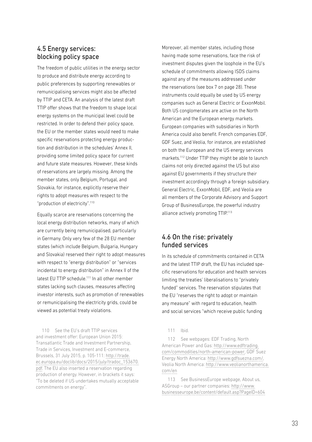## 4.5 Energy services: blocking policy space

The freedom of public utilities in the energy sector to produce and distribute energy according to public preferences by supporting renewables or remunicipalising services might also be affected by TTIP and CETA. An analysis of the latest draft TTIP offer shows that the freedom to shape local energy systems on the municipal level could be restricted. In order to defend their policy space, the EU or the member states would need to make specific reservations protecting energy production and distribution in the schedules' Annex II, providing some limited policy space for current and future state measures. However, these kinds of reservations are largely missing. Among the member states, only Belgium, Portugal, and Slovakia, for instance, explicitly reserve their rights to adopt measures with respect to the "production of electricity".110

Equally scarce are reservations concerning the local energy distribution networks, many of which are currently being remunicipalised, particularly in Germany. Only very few of the 28 EU member states (which include Belgium, Bulgaria, Hungary and Slovakia) reserved their right to adopt measures with respect to "energy distribution" or "services incidental to energy distribution" in Annex II of the latest EU TTIP schedule.<sup>111</sup> In all other member states lacking such clauses, measures affecting investor interests, such as promotion of renewables or remunicipalising the electricity grids, could be viewed as potential treaty violations.

110 See the EU's draft TTIP services and investment offer: European Union 2015: Transatlantic Trade and Investment Partnership, Trade in Services, Investment and E-commerce, Brussels, 31 July 2015, p. 105-111: [http://trade.](http://trade.ec.europa.eu/doclib/docs/2015/july/tradoc_153670.pdf) [ec.europa.eu/doclib/docs/2015/july/tradoc\\_153670.](http://trade.ec.europa.eu/doclib/docs/2015/july/tradoc_153670.pdf) [pdf.](http://trade.ec.europa.eu/doclib/docs/2015/july/tradoc_153670.pdf) The EU also inserted a reservation regarding production of energy. However, in brackets it says: "To be deleted if US undertakes mutually acceptable commitments on energy".

Moreover, all member states, including those having made some reservations, face the risk of investment disputes given the loophole in the EU's schedule of commitments allowing ISDS claims against any of the measures addressed under the reservations (see box 7 on page 28). These instruments could equally be used by US energy companies such as General Electric or ExxonMobil. Both US conglomerates are active on the North American and the European energy markets. European companies with subsidiaries in North America could also benefit. French companies EDF, GDF Suez, and Veolia, for instance, are established on both the European and the US energy services markets.112 Under TTIP they might be able to launch claims not only directed against the US but also against EU governments if they structure their investment accordingly through a foreign subsidiary. General Electric, ExxonMobil, EDF, and Veolia are all members of the Corporate Advisory and Support Group of BusinessEurope, the powerful industry alliance actively promoting TTIP.<sup>113</sup>

## 4.6 On the rise: privately funded services

In its schedule of commitments contained in CETA and the latest TTIP draft, the EU has included specific reservations for education and health services limiting the treaties' liberalisations to "privately funded" services. The reservation stipulates that the EU "reserves the right to adopt or maintain any measure" with regard to education, health and social services "which receive public funding

111 Ibid.

112 See webpages: EDF Trading, North American Power and Gas: [http://www.edftrading.](http://www.edftrading.com/commodities/north-american-power) [com/commodities/north-american-power,](http://www.edftrading.com/commodities/north-american-power) GDF Suez Energy North America: [http://www.gdfsuezna.com/,](http://www.gdfsuezna.com/) Veolia North America: [http://www.veolianorthamerica.](http://www.veolianorthamerica.com/en) [com/en](http://www.veolianorthamerica.com/en)

113 See BusinessEurope webpage, About us, ASGroup – our partner companies: [http://www.](http://www.businesseurope.be/content/default.asp?PageID=604) [businesseurope.be/content/default.asp?PageID=604](http://www.businesseurope.be/content/default.asp?PageID=604)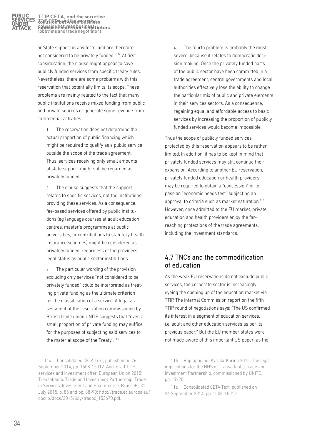

TTIP, CETA, and the secretive collusion between business collusion between business lobbyists and trade negotiators lobbyists and trade negotiators TTIP, CETA, and the secretive

or State support in any form, and are therefore not considered to be privately funded."114 At first consideration, the clause might appear to save publicly funded services from specific treaty rules. Nevertheless, there are some problems with this reservation that potentially limits its scope. These problems are mainly related to the fact that many public institutions receive mixed funding from public and private sources or generate some revenue from commercial activities.

1. The reservation does not determine the actual proportion of public financing which might be required to qualify as a public service outside the scope of the trade agreement. Thus, services receiving only small amounts of state support might still be regarded as privately funded.

2. The clause suggests that the support relates to specific services, not the institutions providing these services. As a consequence, fee-based services offered by public institutions (eg language courses at adult education centres, master's programmes at public universities, or contributions to statutory health insurance schemes) might be considered as privately funded, regardless of the providers' legal status as public sector institutions.

3. The particular wording of the provision excluding only services "not considered to be privately funded" could be interpreted as treating private funding as the ultimate criterion for the classification of a service. A legal assessment of the reservation commissioned by British trade union UNITE suggests that "even a small proportion of private funding may suffice for the purposes of subjecting said services to the material scope of the Treaty".<sup>115</sup>

114 Consolidated CETA Text, published on 26 September 2014, pp. 1508-15012. And: draft TTIP services and investment offer: European Union 2015: Transatlantic Trade and Investment Partnership, Trade in Services, Investment and E-commerce, Brussels, 31 July 2015, p. 85 and pp. 88-90: [http://trade.ec.europa.eu/](http://trade.ec.europa.eu/doclib/docs/2015/july/tradoc_153670.pdf) [doclib/docs/2015/july/tradoc\\_153670.pdf](http://trade.ec.europa.eu/doclib/docs/2015/july/tradoc_153670.pdf).

4. The fourth problem is probably the most severe, because it relates to democratic decision making. Once the privately funded parts of the public sector have been committed in a trade agreement, central governments and local authorities effectively lose the ability to change the particular mix of public and private elements in their services sectors. As a consequence, regaining equal and affordable access to basic services by increasing the proportion of publicly funded services would become impossible.

Thus the scope of publicly funded services protected by this reservation appears to be rather limited. In addition, it has to be kept in mind that privately funded services may still continue their expansion. According to another EU reservation, privately funded education or health providers may be required to obtain a "concession" or to pass an "economic needs test" subjecting an approval to criteria such as market saturation.<sup>116</sup> However, once admitted to the EU market, private education and health providers enjoy the farreaching protections of the trade agreements, including the investment standards.

## 4.7 TNCs and the commodification of education

As the weak EU reservations do not exclude public services, the corporate sector is increasingly eyeing the opening up of the education market via TTIP. The internal Commission report on the fifth TTIP round of negotiations says: "The US confirmed its interest in a segment of education services, i.e. adult and other education services as per its previous paper." But the EU member states were not made aware of this important US paper, as the

115 Raptapoulou, Kyriaki-Korina 2015: The legal implications for the NHS of Transatlantic Trade and Investment Partnership, commissioned by UNITE, pp. 19-20.

116 Consolidated CETA Text, published on 26 September 2014, pp. 1508-15012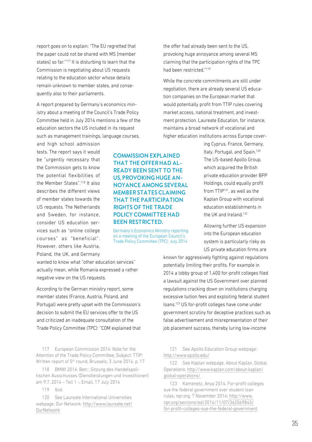report goes on to explain: "The EU regretted that the paper could not be shared with MS [member states] so far."117 It is disturbing to learn that the Commission is negotiating about US requests relating to the education sector whose details remain unknown to member states, and consequently also to their parliaments.

A report prepared by Germany's economics ministry about a meeting of the Council's Trade Policy Committee held in July 2014 mentions a few of the education sectors the US included in its request such as management trainings, language courses,

and high school admission tests. The report says it would be "urgently necessary that the Commission gets to know the potential flexibilities of the Member States".118 It also describes the different views of member states towards the US requests. The Netherlands and Sweden, for instance, consider US education services such as "online college courses" as "beneficial". However, others like Austria, Poland, the UK, and Germany

wanted to know what "other education services" actually mean, while Romania expressed a rather negative view on the US requests.

According to the German ministry report, some member states (France, Austria, Poland, and Portugal) were pretty upset with the Commission's decision to submit the EU services offer to the US and criticized an inadequate consultation of the Trade Policy Committee (TPC): "COM explained that

117 European Commission 2014: Note for the Attention of the Trade Policy Committee, Subject: TTIP: Written report of 5<sup>th</sup> round, Brussels, 3 June 2014, p. 17

118 BMWI 2014: Betr.: Sitzung des Handelspolitischen Ausschusses (Dienstleistungen und Investitionen) am 9.7. 2014 – Teil 1 -, Email, 17 July 2014

119 Ibid.

120 See Laureate International Universities webpage, Our Network: [http://www.laureate.net/](http://www.laureate.net/OurNetwork) **[OurNetwork](http://www.laureate.net/OurNetwork)** 

COMMISSION EXPLAINED THAT THE OFFER HAD AL-READY BEEN SENT TO THE US, PROVOKING HUGE AN-NOYANCE AMONG SEVERAL MEMBER STATES CLAIMING THAT THE PARTICIPATION RIGHTS OF THE TRADE POLICY COMMITTEE HAD BEEN RESTRICTED.

Germany's Economics Ministry reporting on a meeting of the European Council's Trade Policy Committee (TPC), July 2014

the offer had already been sent to the US, provoking huge annoyance among several MS claiming that the participation rights of the TPC had been restricted."119

While the concrete commitments are still under negotiation, there are already several US education companies on the European market that would potentially profit from TTIP rules covering market access, national treatment, and investment protection. Laureate Education, for instance, maintains a broad network of vocational and higher education institutions across Europe cover-

> ing Cyprus, France, Germany, Italy, Portugal, and Spain.<sup>120</sup> The US-based Apollo Group, which acquired the British private education provider BPP Holdings, could equally profit from TTIP121, as well as the Kaplan Group with vocational education establishments in the UK and Ireland.<sup>122</sup>

> Allowing further US expansion into the European education system is particularly risky as US private education firms are

known for aggressively fighting against regulations potentially limiting their profits. For example in 2014 a lobby group of 1,400 for-profit colleges filed a lawsuit against the US Government over planned regulations cracking down on institutions charging excessive tuition fees and exploiting federal student loans.123 US for-profit colleges have come under government scrutiny for deceptive practices such as false advertisement and misrepresentation of their job placement success, thereby luring low-income

121 See Apollo Education Group webpage: [http://www.apollo.edu/](http://www.apollo.edu/http://)

122 See Kaplan webpage, About Kaplan, Global Operations: [http://www.kaplan.com/about-kaplan/](http://www.kaplan.com/about-kaplan/global-operations/) [global-operations/](http://www.kaplan.com/about-kaplan/global-operations/)

123 Kamenetz, Anya 2014: For-profit colleges sue the federal government over student loan rules, npr.org, 7 November 2014: [http://www.](http://www.npr.org/sections/ed/2014/11/07/362069843/for-profit-colleges-sue-the-federal-government) [npr.org/sections/ed/2014/11/07/362069843/](http://www.npr.org/sections/ed/2014/11/07/362069843/for-profit-colleges-sue-the-federal-government) [for-profit-colleges-sue-the-federal-government](http://www.npr.org/sections/ed/2014/11/07/362069843/for-profit-colleges-sue-the-federal-government)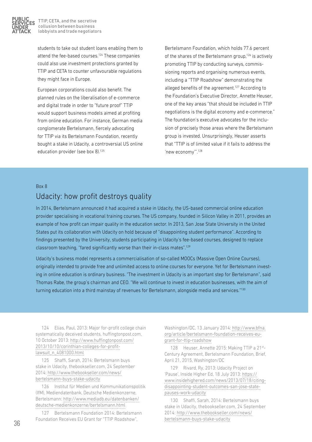

students to take out student loans enabling them to attend the fee-based courses.124 These companies could also use investment protections granted by TTIP and CETA to counter unfavourable regulations they might face in Europe.

European corporations could also benefit. The planned rules on the liberalisation of e-commerce and digital trade in order to "future proof" TTIP would support business models aimed at profiting from online education. For instance, German media conglomerate Bertelsmann, fiercely advocating for TTIP via its Bertelsmann Foundation, recently bought a stake in Udacity, a controversial US online education provider (see box 8).125

Bertelsmann Foundation, which holds 77.6 percent of the shares of the Bertelsmann group, $126$  is actively promoting TTIP by conducting surveys, commissioning reports and organising numerous events, including a "TTIP Roadshow" demonstrating the alleged benefits of the agreement.<sup>127</sup> According to the Foundation's Executive Director, Annette Heuser, one of the key areas "that should be included in TTIP negotiations is the digital economy and e-commerce." The foundation's executive advocates for the inclusion of precisely those areas where the Bertelsmann group is invested. Unsurprisingly, Heuser asserts that "TTIP is of limited value if it fails to address the 'new economy'".128

#### Box 8

## Udacity: how profit destroys quality

In 2014, Bertelsmann announced it had acquired a stake in Udacity, the US-based commercial online education provider specialising in vocational training courses. The US company, founded in Silicon Valley in 2011, provides an example of how profit can impair quality in the education sector. In 2013, San Jose State University in the United States put its collaboration with Udacity on hold because of "disappointing student performance". According to findings presented by the University, students participating in Udacity's fee-based courses, designed to replace classroom teaching, "fared significantly worse than their in-class mates".129

Udacity's business model represents a commercialisation of so-called MOOCs (Massive Open Online Courses), originally intended to provide free and unlimited access to online courses for everyone. Yet for Bertelsmann investing in online education is ordinary business. "The investment in Udacity is an important step for Bertelsmann", said Thomas Rabe, the group's chairman and CEO. "We will continue to invest in education businesses, with the aim of turning education into a third mainstay of revenues for Bertelsmann, alongside media and services."130

124 Elias, Paul, 2013: Major for-profit college chain systematically deceived students, huffingtonpost.com, 10 October 2013: [http://www.huffingtonpost.com/](http://www.huffingtonpost.com/
2013/10/10/corinthian-colleges-for-profit-lawsuit_n_4081000.html) [2013/10/10/corinthian-colleges-for-profit](http://www.huffingtonpost.com/
2013/10/10/corinthian-colleges-for-profit-lawsuit_n_4081000.html)[lawsuit\\_n\\_4081000.html](http://www.huffingtonpost.com/
2013/10/10/corinthian-colleges-for-profit-lawsuit_n_4081000.html)

125 Shaffi, Sarah, 2014: Bertelsmann buys stake in Udacity, thebookseller.com, 24 September 2014: [http://www.thebookseller.com/news/](http://www.thebookseller.com/news/bertelsmann-buys-stake-udacity) [bertelsmann-buys-stake-udacity](http://www.thebookseller.com/news/bertelsmann-buys-stake-udacity)

126 Institut für Medien und Kommunikationspolitik (IfM), Mediendatenbank, Deutsche Medienkonzerne, Bertelsmann: [http://www.mediadb.eu/datenbanken/](http://www.mediadb.eu/datenbanken/deutsche-medienkonzerne/bertelsmann.html) [deutsche-medienkonzerne/bertelsmann.html](http://www.mediadb.eu/datenbanken/deutsche-medienkonzerne/bertelsmann.html)

127 Bertelsmann Foundation 2014: Bertelsmann Foundation Receives EU Grant for "TTIP Roadshow",

Washington/DC, 13 January 2014: [http://www.bfna.](http://www.bfna.org/article/bertelsmann-foundation-receives-eu-grant-for-ttip-roadshow) [org/article/bertelsmann-foundation-receives-eu](http://www.bfna.org/article/bertelsmann-foundation-receives-eu-grant-for-ttip-roadshow)[grant-for-ttip-roadshow](http://www.bfna.org/article/bertelsmann-foundation-receives-eu-grant-for-ttip-roadshow)

128 Heuser, Annette 2015: Making TTIP a 21st-Century Agreement, Bertelsmann Foundation, Brief, April 21, 2015, Washington/DC

129 Rivard, Ry, 2013: Udacity Project on 'Pause', Inside Higher Ed, 18 July 2013: [https://](https://www.inside
highered.com/news/2013/07/18/citing-disappointing-student-outcomes-san-jose-state-pauses-work-udacity) [www.insidehighered.com/news/2013/07/18/citing](https://www.inside
highered.com/news/2013/07/18/citing-disappointing-student-outcomes-san-jose-state-pauses-work-udacity)[disappointing-student-outcomes-san-jose-state](https://www.inside
highered.com/news/2013/07/18/citing-disappointing-student-outcomes-san-jose-state-pauses-work-udacity)[pauses-work-udacity](https://www.inside
highered.com/news/2013/07/18/citing-disappointing-student-outcomes-san-jose-state-pauses-work-udacity)

130 Shaffi, Sarah, 2014: Bertelsmann buys stake in Udacity, thebookseller.com, 24 September 2014: [http://www.thebookseller.com/news/](http://www.thebookseller.com/news/bertelsmann-buys-stake-udacity) [bertelsmann-buys-stake-udacity](http://www.thebookseller.com/news/bertelsmann-buys-stake-udacity)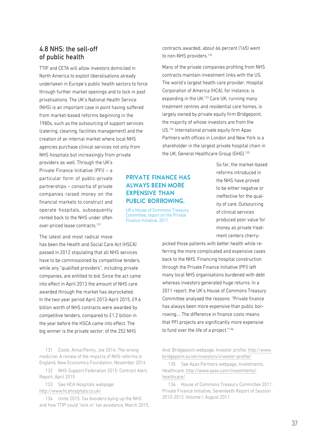## 4.8 NHS: the sell-off of public health

TTIP and CETA will allow investors domiciled in North America to exploit liberalisations already undertaken in Europe's public health sectors to force through further market openings and to lock in past privatisations. The UK's National Health Service (NHS) is an important case in point having suffered from market-based reforms beginning in the 1980s, such as the outsourcing of support services (catering, cleaning, facilities management) and the creation of an internal market where local NHS agencies purchase clinical services not only from NHS hospitals but increasingly from private

providers as well. Through the UK's Private Finance Initiative (PFI) – a particular form of public-private partnerships – consortia of private companies raised money on the financial markets to construct and operate hospitals, subsequently rented back to the NHS under often over-priced lease contracts.131

The latest and most radical move

has been the Health and Social Care Act (HSCA) passed in 2012 stipulating that all NHS services have to be commissioned by competitive tenders, while any "qualified providers", including private companies, are entitled to bid. Since the act came into effect in April 2013 the amount of NHS care awarded through the market has skyrocketed. In the two-year period April 2013-April 2015, £9.6 billion worth of NHS contracts were awarded by competitive tenders, compared to £1.2 billion in the year before the HSCA came into effect. The big winner is the private sector: of the 252 NHS

131 Coote, Anna/Penny, Joe 2014: The wrong medicine. A review of the impacts of NHS reforms in England, New Economics Foundation, November 2014

132 NHS Support Federation 2015: Contract Alert, Report, April 2015

133 See HCA Hospitals webpage: <http://www.hcahospitals.co.uk/>

134 Unite 2015: Tax Avoiders bying up the NHS and how TTIP could "lock in" tax avoidance, March 2015. contracts awarded, about 66 percent (165) went to non-NHS providers.<sup>132</sup>

Many of the private companies profiting from NHS contracts maintain investment links with the US. The world's largest health care provider, Hospital Corporation of America (HCA), for instance, is expanding in the UK.<sup>133</sup> Care UK, running many treatment centres and residential care homes, is largely owned by private equity firm Bridgepoint, the majority of whose investors are from the US.134 International private equity firm Apax Partners with offices in London and New York is a shareholder in the largest private hospital chain in the UK, General Healthcare Group (GHG).<sup>135</sup>

### PRIVATE FINANCE HAS ALWAYS BEEN MORE EXPENSIVE THAN PUBLIC BORROWING.

UK's House of Commons Treasury Committee, report on the Private Finance Initiative, 2011

So far, the market-based reforms introduced in the NHS have proved to be either negative or ineffective for the quality of care. Outsourcing of clinical services produced poor value for money as private treatment centers cherry-

picked those patients with better health while referring the more complicated and expensive cases back to the NHS. Financing hospital construction through the Private Finance Initiative (PFI) left many local NHS organisations burdened with debt whereas investors generated huge returns. In a 2011 report, the UK's House of Commons Treasury Committee analysed the reasons: "Private finance has always been more expensive than public borrowing.... The difference in finance costs means that PFI projects are significantly more expensive to fund over the life of a project."<sup>136</sup>

And: Bridgepoint webpage, Investor profile: [http://www.](http://www.bridgepoint.eu/en/investors/investor-profile/) [bridgepoint.eu/en/investors/investor-profile/](http://www.bridgepoint.eu/en/investors/investor-profile/)

135 See Apax Partners webpage, Investments, Healthcare: [http://www.apax.com/investments/](http://www.apax.com/investments/healthcare/) [healthcare/](http://www.apax.com/investments/healthcare/)

136 House of Commons Treasury Committee 2011: Private Finance Initiative, Seventeeth Report of Session 2010-2012, Volume I, August 2011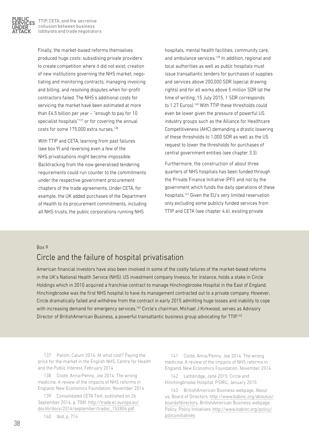

Finally, the market-based reforms themselves produced huge costs: subsidising private providers to create competition where it did not exist; creation of new institutions governing the NHS market; negotiating and monitoring contracts; managing invoicing and billing; and resolving disputes when for-profit contractors failed. The NHS's additional costs for servicing the market have been estimated at more than £4.5 billion per year – "enough to pay for 10 specialist hospitals"<sup>137</sup> or for covering the annual costs for some 175,000 extra nurses.138

With TTIP and CETA, learning from past failures (see box 9) and reversing even a few of the NHS privatisations might become impossible. Backtracking from the now generalised tendering requirements could run counter to the commitments under the respective government procurement chapters of the trade agreements. Under CETA, for example, the UK added purchases of the Department of Health to its procurement commitments, including all NHS trusts, the public corporations running NHS

hospitals, mental health facilities, community care, and ambulance services.<sup>139</sup> In addition, regional and local authorities as well as public hospitals must issue transatlantic tenders for purchases of supplies and services above 200,000 SDR (special drawing rights) and for all works above 5 million SDR (at the time of writing, 15 July 2015, 1 SDR corresponds to 1.27 Euros).<sup>140</sup> With TTIP these thresholds could even be lower given the pressure of powerful US industry groups such as the Alliance for Healthcare Competitiveness (AHC) demanding a drastic lowering of these thresholds to 1,000 SDR as well as the US request to lower the thresholds for purchases of central government entities (see chapter 3.3).

Furthermore, the construction of about three quarters of NHS hospitals has been funded through the Private Finance Initiative (PFI) and not by the government which funds the daily operations of these hospitals.141 Given the EU's very limited reservation only excluding some publicly funded services from TTIP and CETA (see chapter 4.6), existing private

#### Box 9

## Circle and the failure of hospital privatisation

American financial investors have also been involved in some of the costly failures of the market-based reforms in the UK's National Health Service (NHS). US investment company Invesco, for instance, holds a stake in Circle Holdings which in 2010 acquired a franchise contract to manage Hinchingbrooke Hospital in the East of England. Hinchingbrooke was the first NHS hospital to have its management contracted out to a private company. However, Circle dramatically failed and withdrew from the contract in early 2015 admitting huge losses and inability to cope with increasing demand for emergency services.<sup>142</sup> Circle's chairman, Michael J Kirkwood, serves as Advisory Director of BritishAmerican Business, a powerful transatlantic business group advocating for TTIP.<sup>143</sup>

137 Patom, Calum 2014: At what cost? Paying the price for the market in the English NHS, Centre for Health and the Public Interest, February 2014

138 Coote, Anna/Penny, Joe 2014: The wrong medicine. A review of the impacts of NHS reforms in England, New Economics Foundation, November 2014

139 Consolidated CETA Text, published on 26 September 2014, p. 708f. [http://trade.ec.europa.eu/](http://trade.ec.europa.eu/doclib/docs/2014/september/tradoc_152806.pdf) [doclib/docs/2014/september/tradoc\\_152806.pdf](http://trade.ec.europa.eu/doclib/docs/2014/september/tradoc_152806.pdf)

140 Ibid, p. 714

141 Coote, Anna/Penny, Joe 2014: The wrong medicine. A review of the impacts of NHS reforms in England, New Economics Foundation, November 2014

142 Lethbridge, Jane 2015: Circle and Hinchingbrooke Hospital, PSIRU, January 2015

143 BritishAmerican Business webpage, About us, Board of Directors: [http://www.babinc.org/aboutus/](http://www.babinc.org/aboutus/boardofdirectors) [boardofdirectors](http://www.babinc.org/aboutus/boardofdirectors), BritishAmerican Business webpage, Policy, Policy Initiatives: [http://www.babinc.org/policy/](http://www.babinc.org/policy/policyinitiatives) [policyinitiatives](http://www.babinc.org/policy/policyinitiatives)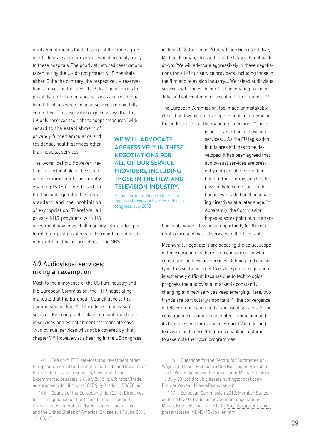involvement means the full range of the trade agreements' liberalisation provisions would probably apply to these hospitals. The poorly structured reservations taken out by the UK do not protect NHS hospitals either. Quite the contrary: the respective UK reservation taken out in the latest TTIP draft only applies to privately funded ambulance services and residential health facilities while hospital services remain fully committed. The reservation explicitly says that the UK only reserves the right to adopt measures "with

regard to the establishment of privately funded ambulance and residential health services other than hospital services".144

The worst deficit, however, relates to the loophole in the schedule of commitments potentially enabling ISDS claims based on the fair and equitable treatment standard and the prohibition of expropriation. Therefore, all private NHS providers with US

investment links may challenge any future attempts to roll back past privations and strengthen public and non-profit healthcare providers in the NHS.

#### 4.9 Audiovisual services: nixing an exemption

Much to the annoyance of the US film industry and the European Commission, the TTIP negotiating mandate that the European Council gave to the Commission in June 2013 excluded audiovisual services. Referring to the planned chapter on trade in services and establishment the mandate says: "Audiovisual services will not be covered by this chapter".145 However, at a hearing in the US congress

144 See draft TTIP services and investment offer: European Union 2015: Transatlantic Trade and Investment Partnership, Trade in Services, Investment and E-commerce, Brussels, 31 July 2015, p. 89: [http://trade.](http://trade.ec.europa.eu/doclib/docs/2015/july/tradoc_153670.pdf) [ec.europa.eu/doclib/docs/2015/july/tradoc\\_153670.pdf](http://trade.ec.europa.eu/doclib/docs/2015/july/tradoc_153670.pdf).

145 Council of the European Union 2013: Directives for the negotiation on the Transatlantic Trade and Investment Partnership between the European Union and the United States of America, Brussels, 17 June 2013, 11103/13

WE WILL ADVOCATE AGGRESSIVELY IN THESE NEGOTIATIONS FOR ALL OF OUR SERVICE PROVIDERS, INCLUDING THOSE IN THE FILM AND TELEVISION INDUSTRY.

Michael Froman, United States Trade Representative, at a hearing in the US congress, July 2013

in July 2013, the United States Trade Representative, Michael Froman, stressed that the US would not back down: "We will advocate aggressively in these negotiations for all of our service providers, including those in the film and television industry.… We raised audiovisual services with the EU in our first negotiating round in July, and will continue to raise it in future rounds."146

The European Commission, too, made unmistakably clear that it would not give up the fight. In a memo on the endorsement of the mandate it declared: "There

> is no carve-out on audiovisual services.… As the EU legislation in this area still has to be developed, it has been agreed that audiovisual services are presently not part of the mandate, but that the Commission has the possibility to come back to the Council with additional negotiating directives at a later stage."147 Apparently, the Commission hopes at some point public atten-

tion could wane allowing an opportunity for them to reintroduce audiovisual services to the TTIP table.

Meanwhile, negotiators are debating the actual scope of the exemption as there is no consensus on what constitutes audiovisual services. Defining and classifying this sector in order to enable proper regulation is extremely difficult because due to technological progress the audiovisual market is constantly changing and new services keep emerging. Here, two trends are particularly important: 1) the convergence of telecommunication and audiovisual services; 2) the convergence of audiovisual content production and its transmission, for instance, Smart TV integrating television and internet features enabling customers to assemble their own programmes.

146 Questions for the Record for Committee on Ways and Means Full Committee Hearing on President's Trade Policy Agenda with Ambassador Michael Froman, 18 July 2013: [http://big.assets.huffingtonpost.com/](http://big.assets.huffingtonpost.com/FromanWaysandMeansResponse.pdf) [FromanWaysandMeansResponse.pdf](http://big.assets.huffingtonpost.com/FromanWaysandMeansResponse.pdf)

147 European Commission 2013: Member States endorse EU-US trade and investment negotiations, Memo, Brussels, 14 June 2013: [http://europa.eu/rapid/](http://europa.eu/rapid/press-release_MEMO-13-564_en.htm) [press-release\\_MEMO-13-564\\_en.htm](http://europa.eu/rapid/press-release_MEMO-13-564_en.htm)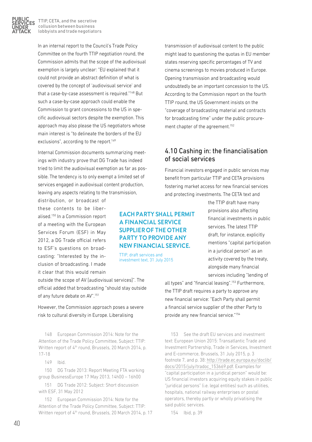

In an internal report to the Council's Trade Policy Committee on the fourth TTIP negotiation round, the Commission admits that the scope of the audiovisual exemption is largely unclear: "EU explained that it could not provide an abstract definition of what is covered by the concept of 'audiovisual service' and that a case-by-case assessment is required."148 But such a case-by-case approach could enable the Commission to grant concessions to the US in specific audiovisual sectors despite the exemption. This approach may also please the US negotiators whose main interest is "to delineate the borders of the EU exclusions", according to the report.<sup>149</sup>

Internal Commission documents summarizing meetings with industry prove that DG Trade has indeed tried to limit the audiovisual exemption as far as possible. The tendency is to only exempt a limited set of services engaged in audiovisual content production, leaving any aspects relating to the transmission,

distribution, or broadcast of these contents to be liberalised.150 In a Commission report of a meeting with the European Services Forum (ESF) in May 2012, a DG Trade official refers to ESF's questions on broadcasting: "Interested by the inclusion of broadcasting. I made it clear that this would remain

outside the scope of AV [audiovisual services]". The official added that broadcasting "should stay outside of any future debate on AV".151

However, the Commission approach poses a severe risk to cultural diversity in Europe. Liberalising

148 European Commission 2014: Note for the Attention of the Trade Policy Committee, Subject: TTIP: Written report of 4<sup>th</sup> round, Brussels, 20 March 2014, p. 17-18

149 Ibid.

150 DG Trade 2013: Report Meeting FTA working group BusinessEurope 17 May 2013, 14h00 – 16h00

151 DG Trade 2012: Subject: Short discussion with ESF, 31 May 2012

152 European Commission 2014: Note for the Attention of the Trade Policy Committee, Subject: TTIP: Written report of 4<sup>th</sup> round, Brussels, 20 March 2014, p. 17

might lead to questioning the quotas in EU member states reserving specific percentages of TV and cinema screenings to movies produced in Europe. Opening transmission and broadcasting would undoubtedly be an important concession to the US. According to the Commission report on the fourth TTIP round, the US Government insists on the "coverage of broadcasting material and contracts for broadcasting time" under the public procurement chapter of the agreement.<sup>152</sup>

transmission of audiovisual content to the public

## 4.10 Cashing in: the financialisation of social services

Financial investors engaged in public services may benefit from particular TTIP and CETA provisions fostering market access for new financial services and protecting investments. The CETA text and

EACH PARTY SHALL PERMIT A FINANCIAL SERVICE SUPPLIER OF THE OTHER PARTY TO PROVIDE ANY NEW FINANCIAL SERVICE.

TTIP, draft services and investment text, 31 July 2015 the TTIP draft have many provisions also affecting financial investments in public services. The latest TTIP draft, for instance, explicitly mentions "capital participation in a juridical person" as an activity covered by the treaty, alongside many financial services including "lending of

all types" and "financial leasing".153 Furthermore, the TTIP draft requires a party to approve any new financial service: "Each Party shall permit a financial service supplier of the other Party to provide any new financial service."154

153 See the draft EU services and investment text: European Union 2015: Transatlantic Trade and Investment Partnership, Trade in Services, Investment and E-commerce, Brussels, 31 July 2015, p. 3 footnote 7, and p. 38: [http://trade.ec.europa.eu/doclib/](http://trade.ec.europa.eu/doclib/docs/2015/july/tradoc_153669.pdf) [docs/2015/july/tradoc\\_153669.pdf.](http://trade.ec.europa.eu/doclib/docs/2015/july/tradoc_153669.pdf) Examples for "capital participation in a juridical person" would be: US financial investors acquiring equity stakes in public "juridical persons" (i.e. legal entities) such as utilities, hospitals, national railway enterprises or postal operators, thereby partly or wholly privatising the said public services.

154 Ibid, p. 39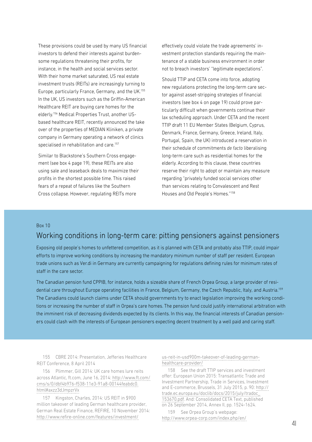These provisions could be used by many US financial investors to defend their interests against burdensome regulations threatening their profits, for instance, in the health and social services sector. With their home market saturated, US real estate investment trusts (REITs) are increasingly turning to Europe, particularly France, Germany, and the UK.155 In the UK, US investors such as the Griffin-American Healthcare REIT are buying care homes for the elderly.156 Medical Properties Trust, another USbased healthcare REIT, recently announced the take over of the properties of MEDIAN Kliniken, a private company in Germany operating a network of clinics specialised in rehabilitation and care.<sup>157</sup>

Similar to Blackstone's Southern Cross engagement (see box 4 page 19), these REITs are also using sale and leaseback deals to maximize their profits in the shortest possible time. This raised fears of a repeat of failures like the Southern Cross collapse. However, regulating REITs more

effectively could violate the trade agreements' investment protection standards requiring the maintenance of a stable business environment in order not to breach investors' "legitimate expectations".

Should TTIP and CETA come into force, adopting new regulations protecting the long-term care sector against asset-stripping strategies of financial investors (see box 4 on page 19) could prove particularly difficult when governments continue their lax scheduling approach. Under CETA and the recent TTIP draft 11 EU Member States (Belgium, Cyprus, Denmark, France, Germany, Greece, Ireland, Italy, Portugal, Spain, the UK) introduced a reservation in their schedule of commitments *de facto* liberalising long-term care such as residential homes for the elderly. According to this clause, these countries reserve their right to adopt or maintain any measure regarding "privately funded social services other than services relating to Convalescent and Rest Houses and Old People's Homes."158

#### Box 10

## Working conditions in long-term care: pitting pensioners against pensioners

Exposing old people's homes to unfettered competition, as it is planned with CETA and probably also TTIP, could impair efforts to improve working conditions by increasing the mandatory minimum number of staff per resident. European trade unions such as Ver.di in Germany are currently campaigning for regulations defining rules for minimum rates of staff in the care sector.

The Canadian pension fund CPPIB, for instance, holds a sizeable share of French Orpea Group, a large provider of residential care throughout Europe operating facilities in France, Belgium, Germany, the Czech Republic, Italy, and Austria.159 The Canadians could launch claims under CETA should governments try to enact legislation improving the working conditions or increasing the number of staff in Orpea's care homes. The pension fund could justify international arbitration with the imminent risk of decreasing dividends expected by its clients. In this way, the financial interests of Canadian pensioners could clash with the interests of European pensioners expecting decent treatment by a well paid and caring staff.

155 CBRE 2014: Presentation, Jefferies Healthcare REIT Conference, 8 April 2014

156 Plimmer, Gill 2014: UK care homes lure reits across Atlantic, ft.com, June 16, 2014: [http://www.ft.com/](http://www.ft.com/cms/s/0/dbf4b976-f538-11e3-91a8-00144feabdc0.html#axzz3dJmpzrVx) [cms/s/0/dbf4b976-f538-11e3-91a8-00144feabdc0.](http://www.ft.com/cms/s/0/dbf4b976-f538-11e3-91a8-00144feabdc0.html#axzz3dJmpzrVx) [html#axzz3dJmpzrVx](http://www.ft.com/cms/s/0/dbf4b976-f538-11e3-91a8-00144feabdc0.html#axzz3dJmpzrVx)

157 Kingston, Charles, 2014: US REIT in \$900 million takeover of leading German healthcare provider, German Real Estate Finance, REFIRE, 10 November 2014: [http://www.refire-online.com/features/investment/](http://www.refire-online.com/features/investment/us-reit-in-usd900m-takeover-of-leading-german-healthcare-provider/)

[us-reit-in-usd900m-takeover-of-leading-german](http://www.refire-online.com/features/investment/us-reit-in-usd900m-takeover-of-leading-german-healthcare-provider/)[healthcare-provider/](http://www.refire-online.com/features/investment/us-reit-in-usd900m-takeover-of-leading-german-healthcare-provider/)

158 See the draft TTIP services and investment offer: European Union 2015: Transatlantic Trade and Investment Partnership, Trade in Services, Investment and E-commerce, Brussels, 31 July 2015, p. 90: [http://](http://trade.ec.europa.eu/doclib/docs/2015/july/tradoc_153670.pdf) [trade.ec.europa.eu/doclib/docs/2015/july/tradoc\\_](http://trade.ec.europa.eu/doclib/docs/2015/july/tradoc_153670.pdf) [153670.pdf.](http://trade.ec.europa.eu/doclib/docs/2015/july/tradoc_153670.pdf) And: Consolidated CETA Text, published on 26 September 2014, Annex II, pp. 1524-1624.

159 See Orpea Group's webpage: <http://www.orpea-corp.com/index.php/en/>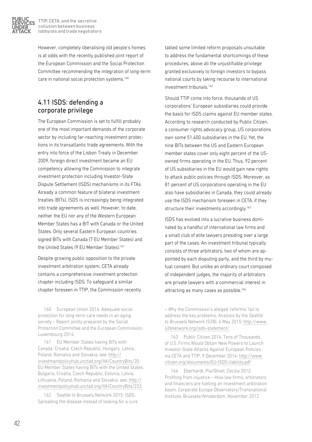

However, completely liberalising old people's homes is at odds with the recently published joint report of the European Commission and the Social Protection Committee recommending the integration of long-term care in national social protection systems.<sup>160</sup>

## 4.11 ISDS: defending a corporate privilege

The European Commission is set to fulfill probably one of the most important demands of the corporate sector by including far-reaching investment protections in its transatlantic trade agreements. With the entry into force of the Lisbon Treaty in December 2009, foreign direct investment became an EU competency allowing the Commission to integrate investment protection including Investor-State Dispute Settlement (ISDS) mechanisms in its FTAs. Already a common feature of bilateral investment treaties (BITs), ISDS is increasingly being integrated into trade agreements as well. However, to date, neither the EU nor any of the Western European Member States has a BIT with Canada or the United States. Only several Eastern European countries signed BITs with Canada (7 EU Member States) and the United States (9 EU Member States).<sup>161</sup>

Despite growing public opposition to the private investment arbitration system, CETA already contains a comprehensive investment protection chapter including ISDS. To safeguard a similar chapter foreseen in TTIP, the Commission recently

160 European Union 2014: Adequate social protection for long-term care needs in an aging society – Report jointly prepared by the Social Protection Committee and the European Commission, Luxembourg 2014

161 EU Member States having BITs with Canada: Croatia, Czech Republic, Hungary, Latvia, Poland, Romania and Slovakia, see: [http://](http://investmentpolicyhub.unctad.org/IIA/CountryBits/35) [investmentpolicyhub.unctad.org/IIA/CountryBits/35.](http://investmentpolicyhub.unctad.org/IIA/CountryBits/35) EU Member States having BITs with the United States: Bulgaria, Croatia, Czech Republic, Estonia, Latvia, Lithuania, Poland, Romania and Slovakia, see: [http://](http://investmentpolicyhub.unctad.org/IIA/CountryBits/223) [investmentpolicyhub.unctad.org/IIA/CountryBits/223](http://investmentpolicyhub.unctad.org/IIA/CountryBits/223)

162 Seattle to Brussels Network 2015: ISDS: Spreading the disease instead of looking for a cure tabled some limited reform proposals unsuitable to address the fundamental shortcomings of these procedures, above all the unjustifiable privilege granted exclusively to foreign investors to bypass national courts by taking recourse to international investment tribunals.<sup>162</sup>

Should TTIP come into force, thousands of US corporations' European subsidiaries could provide the basis for ISDS claims against EU member states. According to research conducted by Public Citizen, a consumer rights advocacy group, US corporations own some 51,400 subsidiaries in the EU. Yet, the nine BITs between the US and Eastern European member states cover only eight percent of the USowned firms operating in the EU. Thus, 92 percent of US subsidiaries in the EU would gain new rights to attack public policies through ISDS. Moreover, as 81 percent of US corporations operating in the EU also have subsidiaries in Canada, they could already use the ISDS mechanism foreseen in CETA, if they structure their investments accordingly.<sup>163</sup>

ISDS has evolved into a lucrative business dominated by a handful of international law firms and a small club of elite lawyers presiding over a large part of the cases. An investment tribunal typically consists of three arbitrators, two of whom are appointed by each disputing party, and the third by mutual consent. But unlike an ordinary court composed of independent judges, the majority of arbitrators are private lawyers with a commercial interest in attracting as many cases as possible.<sup>164</sup>

– Why the Commission's alleged 'reforms' fail to address the key problems, Analysis by the Seattle to Brussels Network (S2B), 6 May 2015: [http://www.](http://www.s2bnetwork.org/isds-statement/) [s2bnetwork.org/isds-statement/](http://www.s2bnetwork.org/isds-statement/)

163 Public Citizen 2014: Tens of Thousands of U.S. Firms Would Obtain New Powers to Launch Investor-State Attacks Against European Policies via CETA and TTIP, 9 December 2014: [http://www.](http://www.citizen.org/documents/EU-ISDS-liability.pdfhttp://) [citizen.org/documents/EU-ISDS-liability.pdf](http://www.citizen.org/documents/EU-ISDS-liability.pdfhttp://)

164 Eberhardt, Pia/Olivet, Cecilia 2012: Profiting from injustice – How law firms, arbitrators and financiers are fuelling an investment arbitration boom, Corporate Europe Observatory/Transnational Institute, Brussels/Amsterdam, November 2012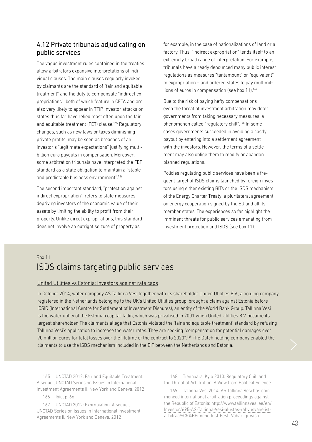## 4.12 Private tribunals adjudicating on public services

The vague investment rules contained in the treaties allow arbitrators expansive interpretations of individual clauses. The main clauses regularly invoked by claimants are the standard of "fair and equitable treatment" and the duty to compensate "indirect expropriations", both of which feature in CETA and are also very likely to appear in TTIP. Investor attacks on states thus far have relied most often upon the fair and equitable treatment (FET) clause.<sup>165</sup> Requiatory changes, such as new laws or taxes diminishing private profits, may be seen as breaches of an investor's "legitimate expectations" justifying multibillion euro payouts in compensation. Moreover, some arbitration tribunals have interpreted the FET standard as a state obligation to maintain a "stable and predictable business environment".<sup>166</sup>

The second important standard, "protection against indirect expropriation", refers to state measures depriving investors of the economic value of their assets by limiting the ability to profit from their property. Unlike direct expropriations, this standard does not involve an outright seizure of property as,

for example, in the case of nationalizations of land or a factory. Thus, "indirect expropriation" lends itself to an extremely broad range of interpretation. For example, tribunals have already denounced many public interest regulations as measures "tantamount" or "equivalent" to expropriation – and ordered states to pay multimillions of euros in compensation (see box 11).167

Due to the risk of paying hefty compensations even the threat of investment arbitration may deter governments from taking necessary measures, a phenomenon called "regulatory chill".168 In some cases governments succeeded in avoiding a costly payout by entering into a settlement agreement with the investors. However, the terms of a settlement may also oblige them to modify or abandon planned regulations.

Policies regulating public services have been a frequent target of ISDS claims launched by foreign investors using either existing BITs or the ISDS mechanism of the Energy Charter Treaty, a plurilateral agreement on energy cooperation signed by the EU and all its member states. The experiences so far highlight the imminent threats for public services emanating from investment protection and ISDS (see box 11).

## Box 11 ISDS claims targeting public services

#### United Utilities vs Estonia: Investors against rate caps

In October 2014, water company AS Tallinna Vesi together with its shareholder United Utilities B.V., a holding company registered in the Netherlands belonging to the UK's United Utilities group, brought a claim against Estonia before ICSID (International Centre for Settlement of Investment Disputes), an entity of the World Bank Group. Tallinna Vesi is the water utility of the Estonian capital Tallin, which was privatised in 2001 when United Utilities B.V. became its largest shareholder. The claimants allege that Estonia violated the 'fair and equitable treatment' standard by refusing Tallinna Vesi's application to increase the water rates. They are seeking "compensation for potential damages over 90 million euros for total losses over the lifetime of the contract to 2020".<sup>169</sup> The Dutch holding company enabled the claimants to use the ISDS mechanism included in the BIT between the Netherlands and Estonia.

165 UNCTAD 2012: Fair and Equitable Treatment: A sequel, UNCTAD Series on Issues in International Investment Agreements II, New York and Geneva, 2012

166 Ibid, p. 66

167 UNCTAD 2012: Expropiation: A sequel,

UNCTAD Series on Issues in International Investment Agreements II, New York and Geneva, 2012

168 Tienhaara, Kyla 2010: Regulatory Chill and the Threat of Arbitration: A View from Political Science

169 Tallinna Vesi 2014: AS Tallinna Vesi has commenced international arbitration proceedings against the Republic of Estonia: [http://www.tallinnavesi.ee/en/](http://http://www.tallinnavesi.ee/en/Investor/695-AS-Tallinna-Vesi-alustas-rahvusvahelist-arbitraa%C5%BEimenetlust-Eesti-Vabariigi-vastu) [Investor/695-AS-Tallinna-Vesi-alustas-rahvusvahelist](http://http://www.tallinnavesi.ee/en/Investor/695-AS-Tallinna-Vesi-alustas-rahvusvahelist-arbitraa%C5%BEimenetlust-Eesti-Vabariigi-vastu)[arbitraa%C5%BEimenetlust-Eesti-Vabariigi-vastu](http://http://www.tallinnavesi.ee/en/Investor/695-AS-Tallinna-Vesi-alustas-rahvusvahelist-arbitraa%C5%BEimenetlust-Eesti-Vabariigi-vastu)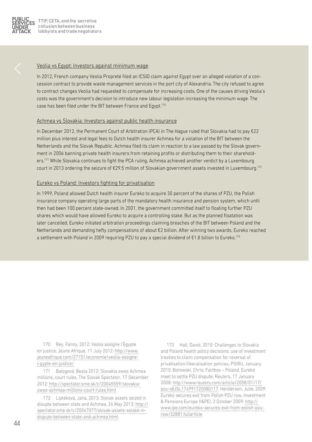

#### Veolia vs Egypt: Investors against minimum wage

In 2012, French company Veolia Propreté filed an ICSID claim against Egypt over an alleged violation of a concession contract to provide waste management services in the port city of Alexandria. The city refused to agree to contract changes Veolia had requested to compensate for increasing costs. One of the causes driving Veolia's costs was the government's decision to introduce new labour legislation increasing the minimum wage. The case has been filed under the BIT between France and Egypt.170

#### Achmea vs Slovakia: Investors against public health insurance

In December 2012, the Permanent Court of Arbitration (PCA) in The Hague ruled that Slovakia had to pay €22 million plus interest and legal fees to Dutch health insurer Achmea for a violation of the BIT between the Netherlands and the Slovak Republic. Achmea filed its claim in reaction to a law passed by the Slovak government in 2006 banning private health insurers from retaining profits or distributing them to their shareholders.<sup>171</sup> While Slovakia continues to fight the PCA ruling, Achmea achieved another verdict by a Luxembourg court in 2013 ordering the seizure of €29.5 million of Slovakian government assets invested in Luxembourg.172

#### Eureko vs Poland: Investors fighting for privatisation

In 1999, Poland allowed Dutch health insurer Eureko to acquire 30 percent of the shares of PZU, the Polish insurance company operating large parts of the mandatory health insurance and pension system, which until then had been 100 percent state-owned. In 2001, the government committed itself to floating further PZU shares which would have allowed Eureko to acquire a controlling stake. But as the planned floatation was later cancelled, Eureko initiated arbitration proceedings claiming breaches of the BIT between Poland and the Netherlands and demanding hefty compensations of about €2 billion. After winning two awards, Eureko reached a settlement with Poland in 2009 requiring PZU to pay a special dividend of €1.8 billion to Eureko.<sup>173</sup>

170 Rey, Fanny, 2012: Veolia assigne l'Égypte en justice, Jeune Afrique, 11 July 2012: [http://www.](http://www.jeuneafrique.com/27151/economie/veolia-assigne-l-gypte-en-justice/) [jeuneafrique.com/27151/economie/veolia-assigne](http://www.jeuneafrique.com/27151/economie/veolia-assigne-l-gypte-en-justice/)[l-gypte-en-justice/](http://www.jeuneafrique.com/27151/economie/veolia-assigne-l-gypte-en-justice/)

171 Balogová, Beata 2012: Slovakia owes Achmea millions, court rules, The Slovak Spectator, 17 December 2012: [http://spectator.sme.sk/c/20045559/slovakia](http://spectator.sme.sk/c/20045559/slovakia-owes-achmea-millions-court-rules.html)[owes-achmea-millions-court-rules.html](http://spectator.sme.sk/c/20045559/slovakia-owes-achmea-millions-court-rules.html)

172 Liptáková, Jana, 2013: Slovak assets seized in disupte between state and Achmea, 24 May 2013: [http://](http://spectator.sme.sk/c/20047077/slovak-assets-seized-in-dispute-between-state-and-achmea.html) [spectator.sme.sk/c/20047077/slovak-assets-seized-in](http://spectator.sme.sk/c/20047077/slovak-assets-seized-in-dispute-between-state-and-achmea.html)[dispute-between-state-and-achmea.html](http://spectator.sme.sk/c/20047077/slovak-assets-seized-in-dispute-between-state-and-achmea.html)

173 Hall, David, 2010: Challenges to Slovakia and Poland health policy decisions: use of investment treaties to claim compensation for reversal of privatisation/liberalisation policies, PSIRU, January 2010. Borowski, Chris: Factbox – Poland, Eureko meet to settle PZU dispute, Reuters, 17 January 2008: [http://www.reuters.com/article/2008/01/17/](http://www.reuters.com/article/2008/01/17/pzu-idUSL174991720080117) [pzu-idUSL174991720080117.](http://www.reuters.com/article/2008/01/17/pzu-idUSL174991720080117) Henderson, Julie, 2009: Eureko secures exit from Polish PZU row, Investment & Pensions Europe (I&PE), 2 October 2009: [http://](http://www.ipe.com/eureko-secures-exit-from-polish-pzu-row/32881.fullarticle) [www.ipe.com/eureko-secures-exit-from-polish-pzu](http://www.ipe.com/eureko-secures-exit-from-polish-pzu-row/32881.fullarticle)[row/32881.fullarticle](http://www.ipe.com/eureko-secures-exit-from-polish-pzu-row/32881.fullarticle)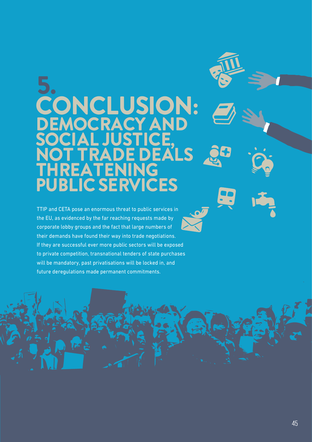## 5. CONCLUSION: DEMOCRACY AND<br>SOCIAL JUSTICE **STICE,<br>EDEA** ADE DEALS THREATENING PUBLIC SERVICES

TTIP and CETA pose an enormous threat to public services in the EU, as evidenced by the far reaching requests made by corporate lobby groups and the fact that large numbers of their demands have found their way into trade negotiations. If they are successful ever more public sectors will be exposed to private competition, transnational tenders of state purchases will be mandatory, past privatisations will be locked in, and future deregulations made permanent commitments.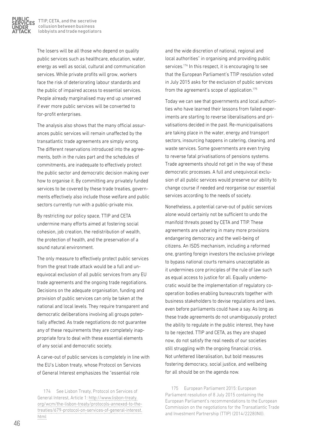

The losers will be all those who depend on quality public services such as healthcare, education, water, energy as well as social, cultural and communication services. While private profits will grow, workers face the risk of deteriorating labour standards and the public of impaired access to essential services. People already marginalised may end up unserved if ever more public services will be converted to for-profit enterprises.

The analysis also shows that the many official assurances public services will remain unaffected by the transatlantic trade agreements are simply wrong. The different reservations introduced into the agreements, both in the rules part and the schedules of commitments, are inadequate to effectively protect the public sector and democratic decision making over how to organise it. By committing any privately funded services to be covered by these trade treaties, governments effectively also include those welfare and public sectors currently run with a public-private mix.

By restricting our policy space, TTIP and CETA undermine many efforts aimed at fostering social cohesion, job creation, the redistribution of wealth, the protection of health, and the preservation of a sound natural environment.

The only measure to effectively protect public services from the great trade attack would be a full and unequivocal exclusion of all public services from any EU trade agreements and the ongoing trade negotiations. Decisions on the adequate organisation, funding and provision of public services can only be taken at the national and local levels. They require transparent and democratic deliberations involving all groups potentially affected. As trade negotiations do not guarantee any of these requirements they are completely inappropriate fora to deal with these essential elements of any social and democratic society.

A carve-out of public services is completely in line with the EU's Lisbon treaty, whose Protocol on Services of General Interest emphasizes the "essential role

and the wide discretion of national, regional and local authorities" in organising and providing public services.<sup>174</sup> In this respect, it is encouraging to see that the European Parliament's TTIP resolution voted in July 2015 asks for the exclusion of public services from the agreement's scope of application.<sup>175</sup>

Today we can see that governments and local authorities who have learned their lessons from failed experiments are starting to reverse liberalisations and privatisations decided in the past. Re-municipalisations are taking place in the water, energy and transport sectors, insourcing happens in catering, cleaning, and waste services. Some governments are even trying to reverse fatal privatisations of pensions systems. Trade agreements should not get in the way of these democratic processes. A full and unequivocal exclusion of all public services would preserve our ability to change course if needed and reorganise our essential services according to the needs of society.

Nonetheless, a potential carve-out of public services alone would certainly not be sufficient to undo the manifold threats posed by CETA and TTIP. These agreements are ushering in many more provisions endangering democracy and the well-being of citizens. An ISDS mechanism, including a reformed one, granting foreign investors the exclusive privilege to bypass national courts remains unacceptable as it undermines core principles of the rule of law such as equal access to justice for all. Equally undemocratic would be the implementation of regulatory cooperation bodies enabling bureaucrats together with business stakeholders to devise regulations and laws, even before parliaments could have a say. As long as these trade agreements do not unambiguously protect the ability to regulate in the public interest, they have to be rejected. TTIP and CETA, as they are shaped now, do not satisfy the real needs of our societies still struggling with the ongoing financial crisis. Not unfettered liberalisation, but bold measures fostering democracy, social justice, and wellbeing for all should be on the agenda now.

175 European Parliament 2015: European Parliament resolution of 8 July 2015 containing the European Parliament's recommendations to the European Commission on the negotiations for the Transatlantic Trade and Investment Partnership (TTIP) (2014/2228(INI)).

<sup>174</sup> See Lisbon Treaty, Protocol on Services of General Interest, Article 1: [http://www.lisbon-treaty.](http://www.lisbon-treaty.org/wcm/the-lisbon-treaty/protocols-annexed-to-the-treaties/679-protocol-on-services-of-general-interest.html) [org/wcm/the-lisbon-treaty/protocols-annexed-to-the](http://www.lisbon-treaty.org/wcm/the-lisbon-treaty/protocols-annexed-to-the-treaties/679-protocol-on-services-of-general-interest.html)[treaties/679-protocol-on-services-of-general-interest.](http://www.lisbon-treaty.org/wcm/the-lisbon-treaty/protocols-annexed-to-the-treaties/679-protocol-on-services-of-general-interest.html) [html](http://www.lisbon-treaty.org/wcm/the-lisbon-treaty/protocols-annexed-to-the-treaties/679-protocol-on-services-of-general-interest.html)